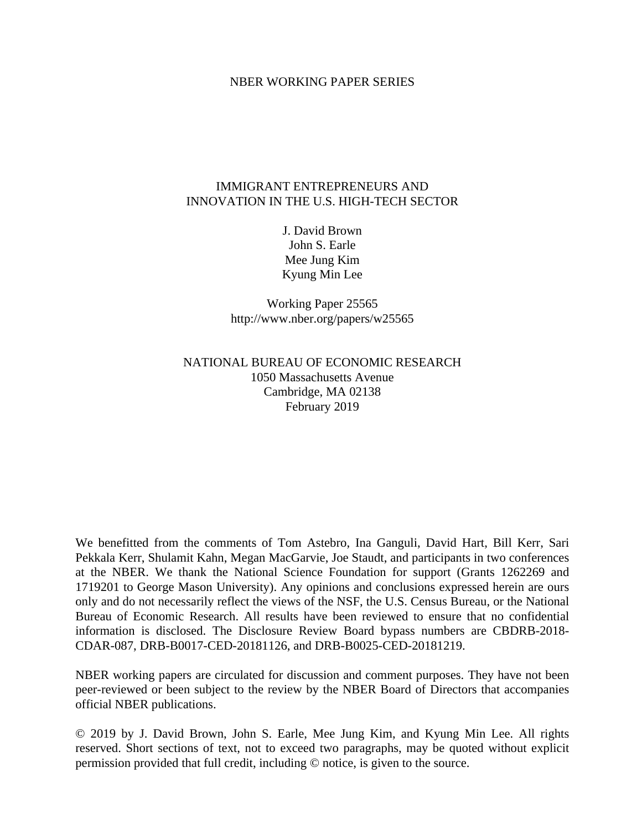### NBER WORKING PAPER SERIES

## IMMIGRANT ENTREPRENEURS AND INNOVATION IN THE U.S. HIGH-TECH SECTOR

J. David Brown John S. Earle Mee Jung Kim Kyung Min Lee

Working Paper 25565 http://www.nber.org/papers/w25565

# NATIONAL BUREAU OF ECONOMIC RESEARCH 1050 Massachusetts Avenue Cambridge, MA 02138 February 2019

We benefitted from the comments of Tom Astebro, Ina Ganguli, David Hart, Bill Kerr, Sari Pekkala Kerr, Shulamit Kahn, Megan MacGarvie, Joe Staudt, and participants in two conferences at the NBER. We thank the National Science Foundation for support (Grants 1262269 and 1719201 to George Mason University). Any opinions and conclusions expressed herein are ours only and do not necessarily reflect the views of the NSF, the U.S. Census Bureau, or the National Bureau of Economic Research. All results have been reviewed to ensure that no confidential information is disclosed. The Disclosure Review Board bypass numbers are CBDRB-2018- CDAR-087, DRB-B0017-CED-20181126, and DRB-B0025-CED-20181219.

NBER working papers are circulated for discussion and comment purposes. They have not been peer-reviewed or been subject to the review by the NBER Board of Directors that accompanies official NBER publications.

© 2019 by J. David Brown, John S. Earle, Mee Jung Kim, and Kyung Min Lee. All rights reserved. Short sections of text, not to exceed two paragraphs, may be quoted without explicit permission provided that full credit, including © notice, is given to the source.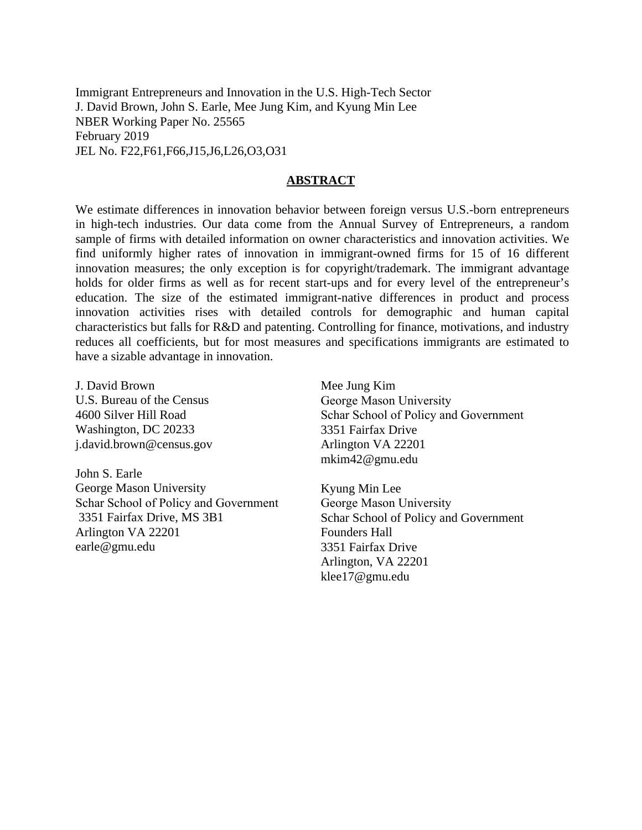Immigrant Entrepreneurs and Innovation in the U.S. High-Tech Sector J. David Brown, John S. Earle, Mee Jung Kim, and Kyung Min Lee NBER Working Paper No. 25565 February 2019 JEL No. F22,F61,F66,J15,J6,L26,O3,O31

### **ABSTRACT**

We estimate differences in innovation behavior between foreign versus U.S.-born entrepreneurs in high-tech industries. Our data come from the Annual Survey of Entrepreneurs, a random sample of firms with detailed information on owner characteristics and innovation activities. We find uniformly higher rates of innovation in immigrant-owned firms for 15 of 16 different innovation measures; the only exception is for copyright/trademark. The immigrant advantage holds for older firms as well as for recent start-ups and for every level of the entrepreneur's education. The size of the estimated immigrant-native differences in product and process innovation activities rises with detailed controls for demographic and human capital characteristics but falls for R&D and patenting. Controlling for finance, motivations, and industry reduces all coefficients, but for most measures and specifications immigrants are estimated to have a sizable advantage in innovation.

J. David Brown U.S. Bureau of the Census 4600 Silver Hill Road Washington, DC 20233 j.david.brown@census.gov

John S. Earle George Mason University Schar School of Policy and Government 3351 Fairfax Drive, MS 3B1 Arlington VA 22201 earle@gmu.edu

Mee Jung Kim George Mason University Schar School of Policy and Government 3351 Fairfax Drive Arlington VA 22201 mkim42@gmu.edu

Kyung Min Lee George Mason University Schar School of Policy and Government Founders Hall 3351 Fairfax Drive Arlington, VA 22201 klee17@gmu.edu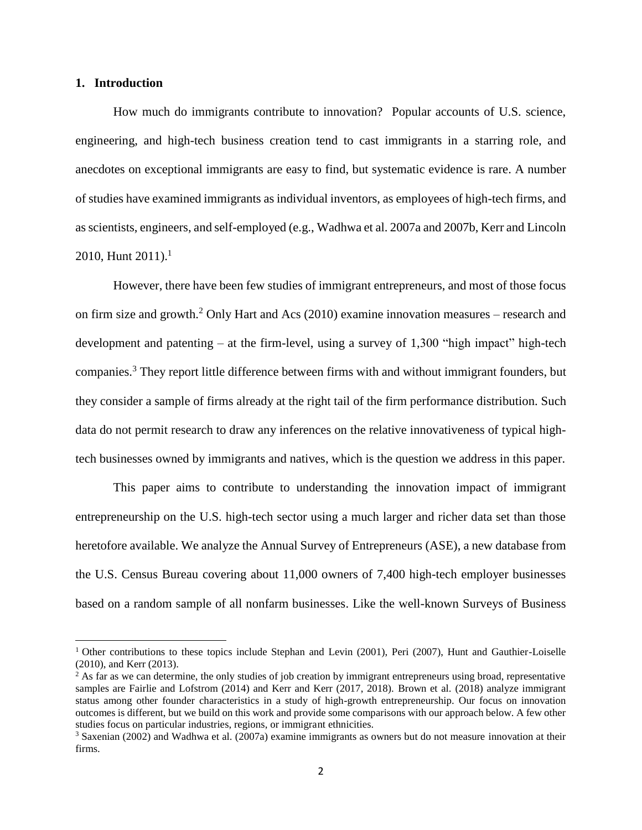### **1. Introduction**

 $\overline{a}$ 

How much do immigrants contribute to innovation? Popular accounts of U.S. science, engineering, and high-tech business creation tend to cast immigrants in a starring role, and anecdotes on exceptional immigrants are easy to find, but systematic evidence is rare. A number of studies have examined immigrants as individual inventors, as employees of high-tech firms, and as scientists, engineers, and self-employed (e.g., Wadhwa et al. 2007a and 2007b, Kerr and Lincoln 2010, Hunt  $2011$ ).<sup>1</sup>

However, there have been few studies of immigrant entrepreneurs, and most of those focus on firm size and growth.<sup>2</sup> Only Hart and Acs (2010) examine innovation measures – research and development and patenting – at the firm-level, using a survey of 1,300 "high impact" high-tech companies.<sup>3</sup> They report little difference between firms with and without immigrant founders, but they consider a sample of firms already at the right tail of the firm performance distribution. Such data do not permit research to draw any inferences on the relative innovativeness of typical hightech businesses owned by immigrants and natives, which is the question we address in this paper.

This paper aims to contribute to understanding the innovation impact of immigrant entrepreneurship on the U.S. high-tech sector using a much larger and richer data set than those heretofore available. We analyze the Annual Survey of Entrepreneurs (ASE), a new database from the U.S. Census Bureau covering about 11,000 owners of 7,400 high-tech employer businesses based on a random sample of all nonfarm businesses. Like the well-known Surveys of Business

<sup>&</sup>lt;sup>1</sup> Other contributions to these topics include Stephan and Levin (2001), Peri (2007), Hunt and Gauthier-Loiselle (2010), and Kerr (2013).

<sup>&</sup>lt;sup>2</sup> As far as we can determine, the only studies of job creation by immigrant entrepreneurs using broad, representative samples are Fairlie and Lofstrom (2014) and Kerr and Kerr (2017, 2018). Brown et al. (2018) analyze immigrant status among other founder characteristics in a study of high-growth entrepreneurship. Our focus on innovation outcomes is different, but we build on this work and provide some comparisons with our approach below. A few other studies focus on particular industries, regions, or immigrant ethnicities.

<sup>3</sup> Saxenian (2002) and Wadhwa et al. (2007a) examine immigrants as owners but do not measure innovation at their firms.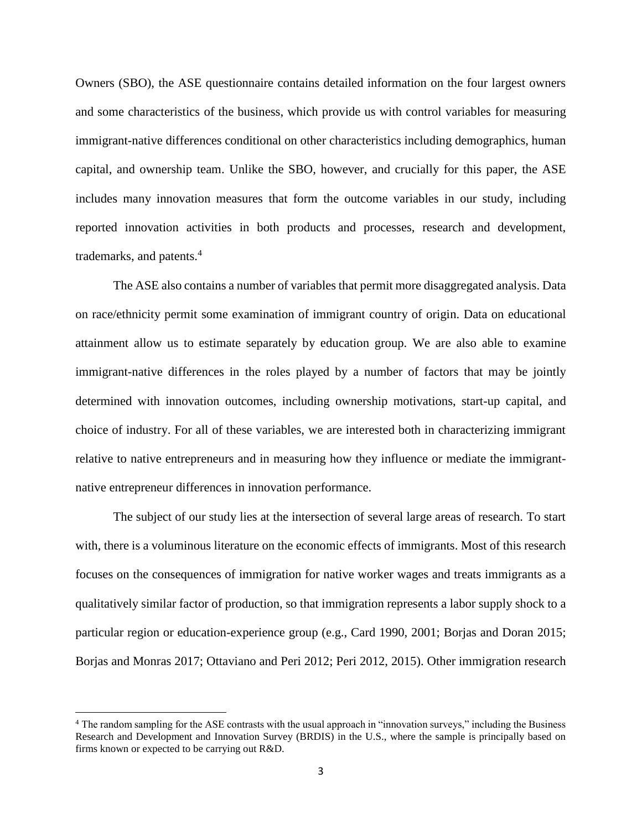Owners (SBO), the ASE questionnaire contains detailed information on the four largest owners and some characteristics of the business, which provide us with control variables for measuring immigrant-native differences conditional on other characteristics including demographics, human capital, and ownership team. Unlike the SBO, however, and crucially for this paper, the ASE includes many innovation measures that form the outcome variables in our study, including reported innovation activities in both products and processes, research and development, trademarks, and patents.<sup>4</sup>

The ASE also contains a number of variables that permit more disaggregated analysis. Data on race/ethnicity permit some examination of immigrant country of origin. Data on educational attainment allow us to estimate separately by education group. We are also able to examine immigrant-native differences in the roles played by a number of factors that may be jointly determined with innovation outcomes, including ownership motivations, start-up capital, and choice of industry. For all of these variables, we are interested both in characterizing immigrant relative to native entrepreneurs and in measuring how they influence or mediate the immigrantnative entrepreneur differences in innovation performance.

The subject of our study lies at the intersection of several large areas of research. To start with, there is a voluminous literature on the economic effects of immigrants. Most of this research focuses on the consequences of immigration for native worker wages and treats immigrants as a qualitatively similar factor of production, so that immigration represents a labor supply shock to a particular region or education-experience group (e.g., Card 1990, 2001; Borjas and Doran 2015; Borjas and Monras 2017; Ottaviano and Peri 2012; Peri 2012, 2015). Other immigration research

 $\overline{a}$ 

<sup>4</sup> The random sampling for the ASE contrasts with the usual approach in "innovation surveys," including the Business Research and Development and Innovation Survey (BRDIS) in the U.S., where the sample is principally based on firms known or expected to be carrying out R&D.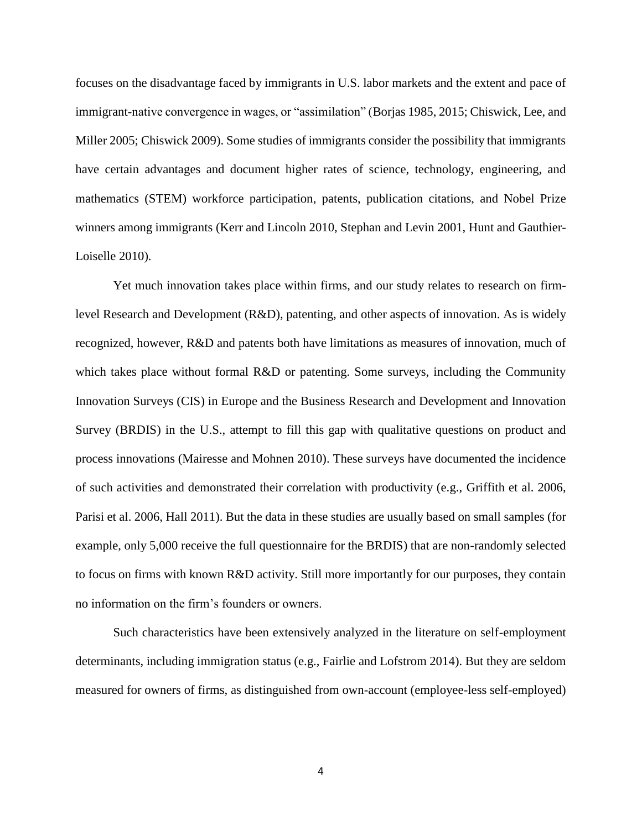focuses on the disadvantage faced by immigrants in U.S. labor markets and the extent and pace of immigrant-native convergence in wages, or "assimilation" (Borjas 1985, 2015; Chiswick, Lee, and Miller 2005; Chiswick 2009). Some studies of immigrants consider the possibility that immigrants have certain advantages and document higher rates of science, technology, engineering, and mathematics (STEM) workforce participation, patents, publication citations, and Nobel Prize winners among immigrants (Kerr and Lincoln 2010, Stephan and Levin 2001, Hunt and Gauthier-Loiselle 2010).

Yet much innovation takes place within firms, and our study relates to research on firmlevel Research and Development (R&D), patenting, and other aspects of innovation. As is widely recognized, however, R&D and patents both have limitations as measures of innovation, much of which takes place without formal R&D or patenting. Some surveys, including the Community Innovation Surveys (CIS) in Europe and the Business Research and Development and Innovation Survey (BRDIS) in the U.S., attempt to fill this gap with qualitative questions on product and process innovations (Mairesse and Mohnen 2010). These surveys have documented the incidence of such activities and demonstrated their correlation with productivity (e.g., Griffith et al. 2006, Parisi et al. 2006, Hall 2011). But the data in these studies are usually based on small samples (for example, only 5,000 receive the full questionnaire for the BRDIS) that are non-randomly selected to focus on firms with known R&D activity. Still more importantly for our purposes, they contain no information on the firm's founders or owners.

Such characteristics have been extensively analyzed in the literature on self-employment determinants, including immigration status (e.g., Fairlie and Lofstrom 2014). But they are seldom measured for owners of firms, as distinguished from own-account (employee-less self-employed)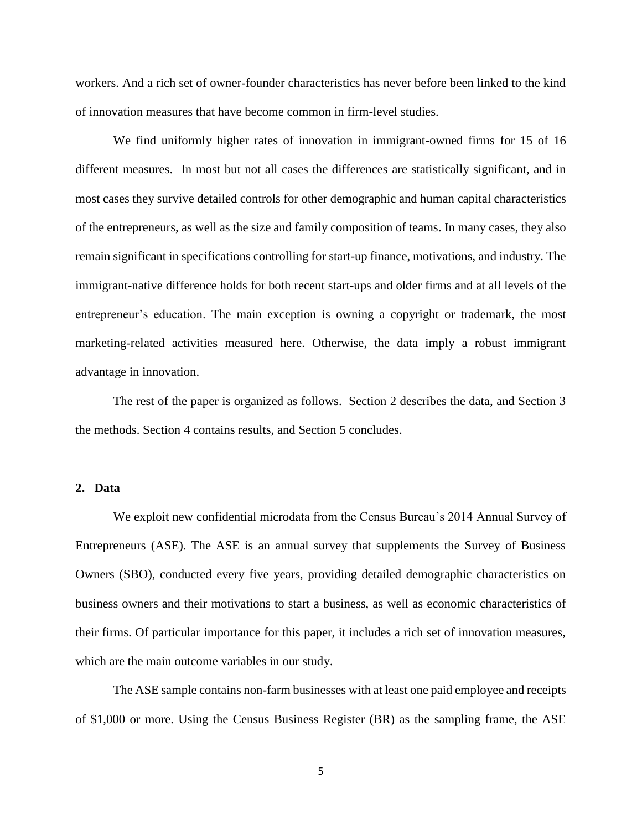workers. And a rich set of owner-founder characteristics has never before been linked to the kind of innovation measures that have become common in firm-level studies.

We find uniformly higher rates of innovation in immigrant-owned firms for 15 of 16 different measures. In most but not all cases the differences are statistically significant, and in most cases they survive detailed controls for other demographic and human capital characteristics of the entrepreneurs, as well as the size and family composition of teams. In many cases, they also remain significant in specifications controlling for start-up finance, motivations, and industry. The immigrant-native difference holds for both recent start-ups and older firms and at all levels of the entrepreneur's education. The main exception is owning a copyright or trademark, the most marketing-related activities measured here. Otherwise, the data imply a robust immigrant advantage in innovation.

The rest of the paper is organized as follows. Section 2 describes the data, and Section 3 the methods. Section 4 contains results, and Section 5 concludes.

## **2. Data**

We exploit new confidential microdata from the Census Bureau's 2014 Annual Survey of Entrepreneurs (ASE). The ASE is an annual survey that supplements the Survey of Business Owners (SBO), conducted every five years, providing detailed demographic characteristics on business owners and their motivations to start a business, as well as economic characteristics of their firms. Of particular importance for this paper, it includes a rich set of innovation measures, which are the main outcome variables in our study.

The ASE sample contains non-farm businesses with at least one paid employee and receipts of \$1,000 or more. Using the Census Business Register (BR) as the sampling frame, the ASE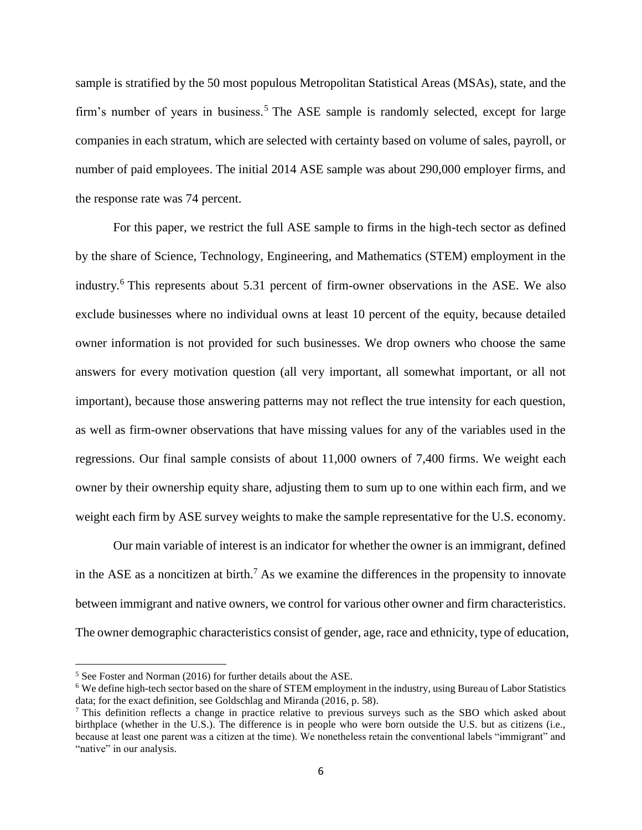sample is stratified by the 50 most populous Metropolitan Statistical Areas (MSAs), state, and the firm's number of years in business.<sup>5</sup> The ASE sample is randomly selected, except for large companies in each stratum, which are selected with certainty based on volume of sales, payroll, or number of paid employees. The initial 2014 ASE sample was about 290,000 employer firms, and the response rate was 74 percent.

For this paper, we restrict the full ASE sample to firms in the high-tech sector as defined by the share of Science, Technology, Engineering, and Mathematics (STEM) employment in the industry.<sup>6</sup> This represents about 5.31 percent of firm-owner observations in the ASE. We also exclude businesses where no individual owns at least 10 percent of the equity, because detailed owner information is not provided for such businesses. We drop owners who choose the same answers for every motivation question (all very important, all somewhat important, or all not important), because those answering patterns may not reflect the true intensity for each question, as well as firm-owner observations that have missing values for any of the variables used in the regressions. Our final sample consists of about 11,000 owners of 7,400 firms. We weight each owner by their ownership equity share, adjusting them to sum up to one within each firm, and we weight each firm by ASE survey weights to make the sample representative for the U.S. economy.

Our main variable of interest is an indicator for whether the owner is an immigrant, defined in the ASE as a noncitizen at birth.<sup>7</sup> As we examine the differences in the propensity to innovate between immigrant and native owners, we control for various other owner and firm characteristics. The owner demographic characteristics consist of gender, age, race and ethnicity, type of education,

 $\overline{a}$ 

<sup>5</sup> See Foster and Norman (2016) for further details about the ASE.

<sup>6</sup> We define high-tech sector based on the share of STEM employment in the industry, using Bureau of Labor Statistics data; for the exact definition, see Goldschlag and Miranda (2016, p. 58).

<sup>7</sup> This definition reflects a change in practice relative to previous surveys such as the SBO which asked about birthplace (whether in the U.S.). The difference is in people who were born outside the U.S. but as citizens (i.e., because at least one parent was a citizen at the time). We nonetheless retain the conventional labels "immigrant" and "native" in our analysis.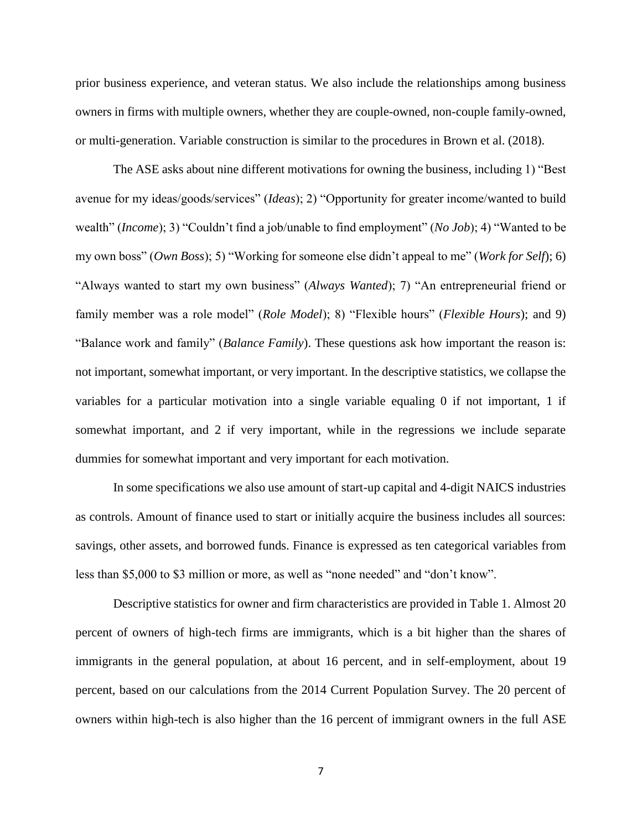prior business experience, and veteran status. We also include the relationships among business owners in firms with multiple owners, whether they are couple-owned, non-couple family-owned, or multi-generation. Variable construction is similar to the procedures in Brown et al. (2018).

The ASE asks about nine different motivations for owning the business, including 1) "Best avenue for my ideas/goods/services" (*Ideas*); 2) "Opportunity for greater income/wanted to build wealth" (*Income*); 3) "Couldn't find a job/unable to find employment" (*No Job*); 4) "Wanted to be my own boss" (*Own Boss*); 5) "Working for someone else didn't appeal to me" (*Work for Self*); 6) "Always wanted to start my own business" (*Always Wanted*); 7) "An entrepreneurial friend or family member was a role model" (*Role Model*); 8) "Flexible hours" (*Flexible Hours*); and 9) "Balance work and family" (*Balance Family*). These questions ask how important the reason is: not important, somewhat important, or very important. In the descriptive statistics, we collapse the variables for a particular motivation into a single variable equaling 0 if not important, 1 if somewhat important, and 2 if very important, while in the regressions we include separate dummies for somewhat important and very important for each motivation.

In some specifications we also use amount of start-up capital and 4-digit NAICS industries as controls. Amount of finance used to start or initially acquire the business includes all sources: savings, other assets, and borrowed funds. Finance is expressed as ten categorical variables from less than \$5,000 to \$3 million or more, as well as "none needed" and "don't know".

Descriptive statistics for owner and firm characteristics are provided in Table 1. Almost 20 percent of owners of high-tech firms are immigrants, which is a bit higher than the shares of immigrants in the general population, at about 16 percent, and in self-employment, about 19 percent, based on our calculations from the 2014 Current Population Survey. The 20 percent of owners within high-tech is also higher than the 16 percent of immigrant owners in the full ASE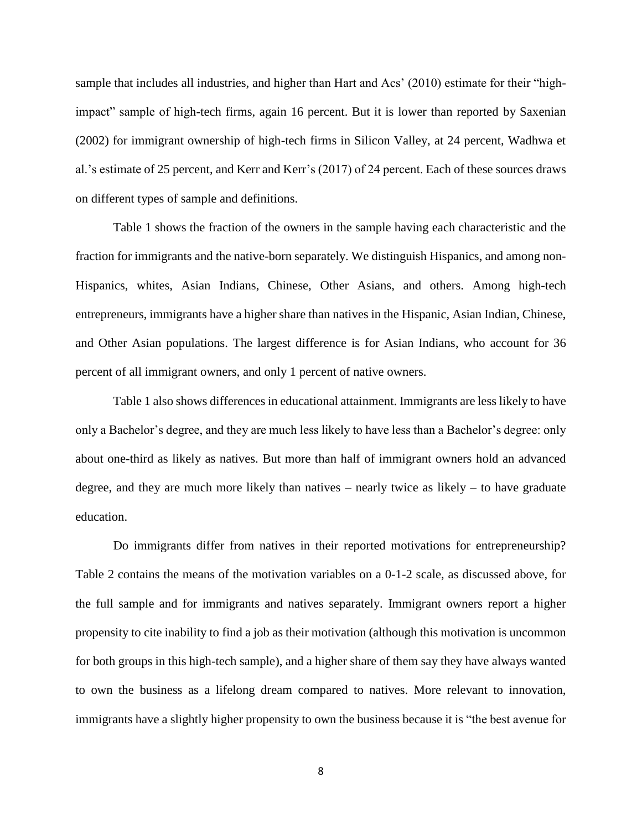sample that includes all industries, and higher than Hart and Acs' (2010) estimate for their "highimpact" sample of high-tech firms, again 16 percent. But it is lower than reported by Saxenian (2002) for immigrant ownership of high-tech firms in Silicon Valley, at 24 percent, Wadhwa et al.'s estimate of 25 percent, and Kerr and Kerr's (2017) of 24 percent. Each of these sources draws on different types of sample and definitions.

Table 1 shows the fraction of the owners in the sample having each characteristic and the fraction for immigrants and the native-born separately. We distinguish Hispanics, and among non-Hispanics, whites, Asian Indians, Chinese, Other Asians, and others. Among high-tech entrepreneurs, immigrants have a higher share than natives in the Hispanic, Asian Indian, Chinese, and Other Asian populations. The largest difference is for Asian Indians, who account for 36 percent of all immigrant owners, and only 1 percent of native owners.

Table 1 also shows differences in educational attainment. Immigrants are less likely to have only a Bachelor's degree, and they are much less likely to have less than a Bachelor's degree: only about one-third as likely as natives. But more than half of immigrant owners hold an advanced degree, and they are much more likely than natives – nearly twice as likely – to have graduate education.

Do immigrants differ from natives in their reported motivations for entrepreneurship? Table 2 contains the means of the motivation variables on a 0-1-2 scale, as discussed above, for the full sample and for immigrants and natives separately. Immigrant owners report a higher propensity to cite inability to find a job as their motivation (although this motivation is uncommon for both groups in this high-tech sample), and a higher share of them say they have always wanted to own the business as a lifelong dream compared to natives. More relevant to innovation, immigrants have a slightly higher propensity to own the business because it is "the best avenue for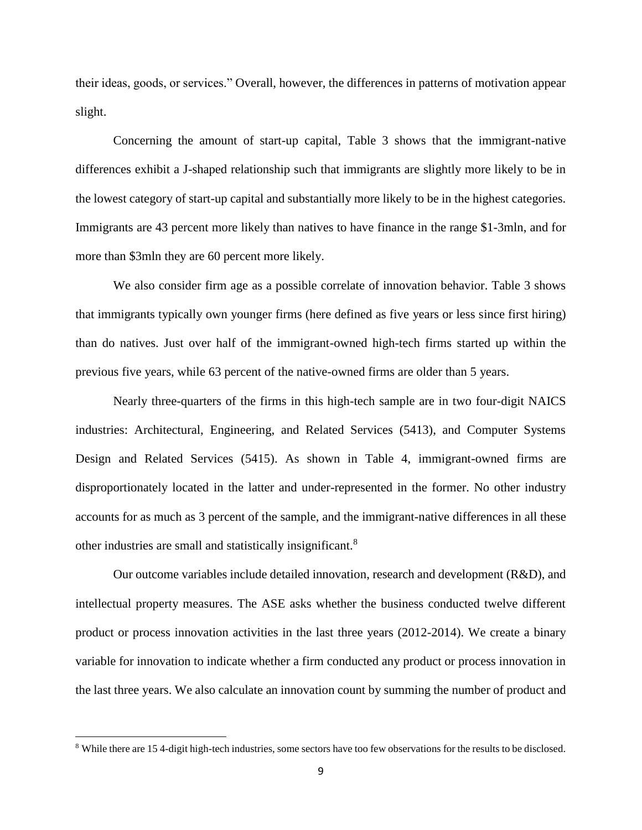their ideas, goods, or services." Overall, however, the differences in patterns of motivation appear slight.

Concerning the amount of start-up capital, Table 3 shows that the immigrant-native differences exhibit a J-shaped relationship such that immigrants are slightly more likely to be in the lowest category of start-up capital and substantially more likely to be in the highest categories. Immigrants are 43 percent more likely than natives to have finance in the range \$1-3mln, and for more than \$3mln they are 60 percent more likely.

We also consider firm age as a possible correlate of innovation behavior. Table 3 shows that immigrants typically own younger firms (here defined as five years or less since first hiring) than do natives. Just over half of the immigrant-owned high-tech firms started up within the previous five years, while 63 percent of the native-owned firms are older than 5 years.

Nearly three-quarters of the firms in this high-tech sample are in two four-digit NAICS industries: Architectural, Engineering, and Related Services (5413), and Computer Systems Design and Related Services (5415). As shown in Table 4, immigrant-owned firms are disproportionately located in the latter and under-represented in the former. No other industry accounts for as much as 3 percent of the sample, and the immigrant-native differences in all these other industries are small and statistically insignificant.<sup>8</sup>

Our outcome variables include detailed innovation, research and development (R&D), and intellectual property measures. The ASE asks whether the business conducted twelve different product or process innovation activities in the last three years (2012-2014). We create a binary variable for innovation to indicate whether a firm conducted any product or process innovation in the last three years. We also calculate an innovation count by summing the number of product and

 $\overline{a}$ 

<sup>8</sup> While there are 15 4-digit high-tech industries, some sectors have too few observations for the results to be disclosed.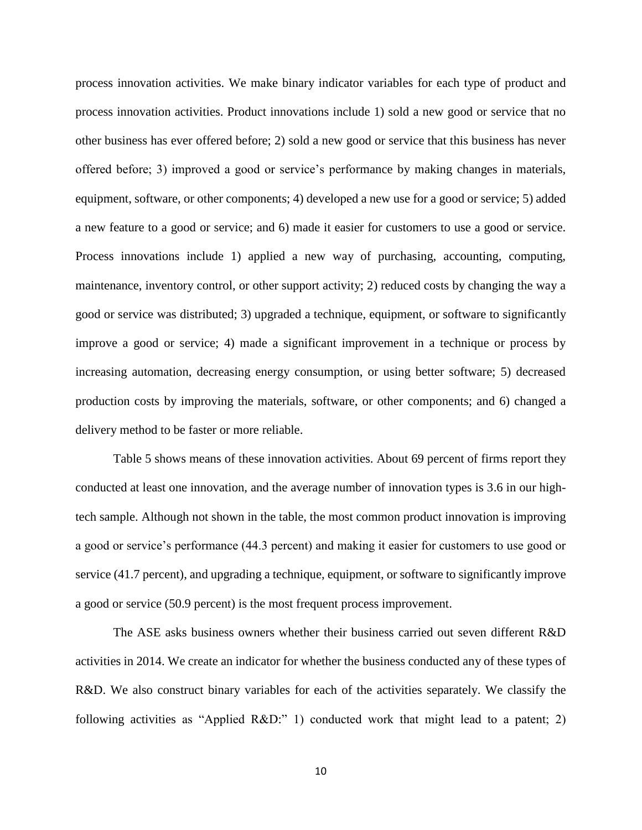process innovation activities. We make binary indicator variables for each type of product and process innovation activities. Product innovations include 1) sold a new good or service that no other business has ever offered before; 2) sold a new good or service that this business has never offered before; 3) improved a good or service's performance by making changes in materials, equipment, software, or other components; 4) developed a new use for a good or service; 5) added a new feature to a good or service; and 6) made it easier for customers to use a good or service. Process innovations include 1) applied a new way of purchasing, accounting, computing, maintenance, inventory control, or other support activity; 2) reduced costs by changing the way a good or service was distributed; 3) upgraded a technique, equipment, or software to significantly improve a good or service; 4) made a significant improvement in a technique or process by increasing automation, decreasing energy consumption, or using better software; 5) decreased production costs by improving the materials, software, or other components; and 6) changed a delivery method to be faster or more reliable.

Table 5 shows means of these innovation activities. About 69 percent of firms report they conducted at least one innovation, and the average number of innovation types is 3.6 in our hightech sample. Although not shown in the table, the most common product innovation is improving a good or service's performance (44.3 percent) and making it easier for customers to use good or service (41.7 percent), and upgrading a technique, equipment, or software to significantly improve a good or service (50.9 percent) is the most frequent process improvement.

The ASE asks business owners whether their business carried out seven different R&D activities in 2014. We create an indicator for whether the business conducted any of these types of R&D. We also construct binary variables for each of the activities separately. We classify the following activities as "Applied R&D:" 1) conducted work that might lead to a patent; 2)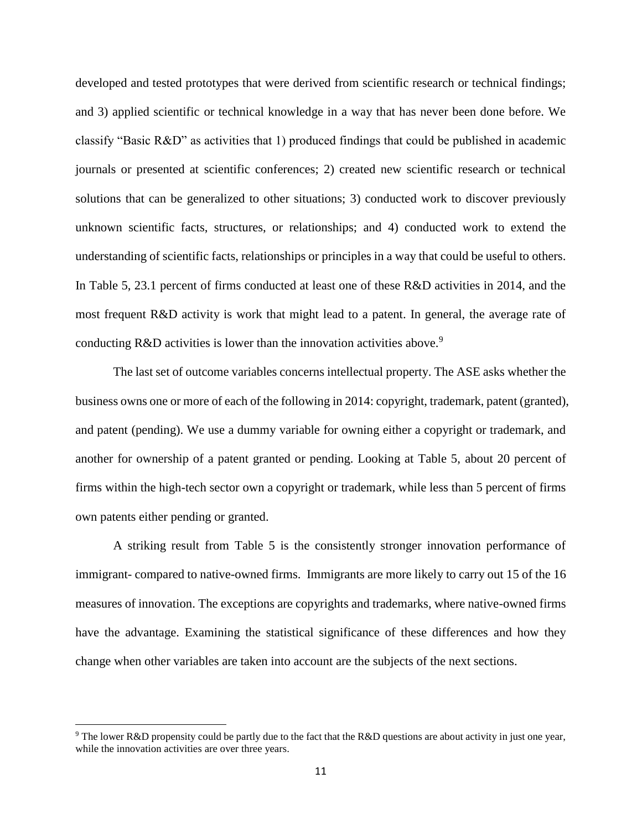developed and tested prototypes that were derived from scientific research or technical findings; and 3) applied scientific or technical knowledge in a way that has never been done before. We classify "Basic R&D" as activities that 1) produced findings that could be published in academic journals or presented at scientific conferences; 2) created new scientific research or technical solutions that can be generalized to other situations; 3) conducted work to discover previously unknown scientific facts, structures, or relationships; and 4) conducted work to extend the understanding of scientific facts, relationships or principles in a way that could be useful to others. In Table 5, 23.1 percent of firms conducted at least one of these R&D activities in 2014, and the most frequent R&D activity is work that might lead to a patent. In general, the average rate of conducting  $R&D$  activities is lower than the innovation activities above.<sup>9</sup>

The last set of outcome variables concerns intellectual property. The ASE asks whether the business owns one or more of each of the following in 2014: copyright, trademark, patent (granted), and patent (pending). We use a dummy variable for owning either a copyright or trademark, and another for ownership of a patent granted or pending. Looking at Table 5, about 20 percent of firms within the high-tech sector own a copyright or trademark, while less than 5 percent of firms own patents either pending or granted.

A striking result from Table 5 is the consistently stronger innovation performance of immigrant- compared to native-owned firms. Immigrants are more likely to carry out 15 of the 16 measures of innovation. The exceptions are copyrights and trademarks, where native-owned firms have the advantage. Examining the statistical significance of these differences and how they change when other variables are taken into account are the subjects of the next sections.

 $\overline{a}$ 

<sup>&</sup>lt;sup>9</sup> The lower R&D propensity could be partly due to the fact that the R&D questions are about activity in just one year, while the innovation activities are over three years.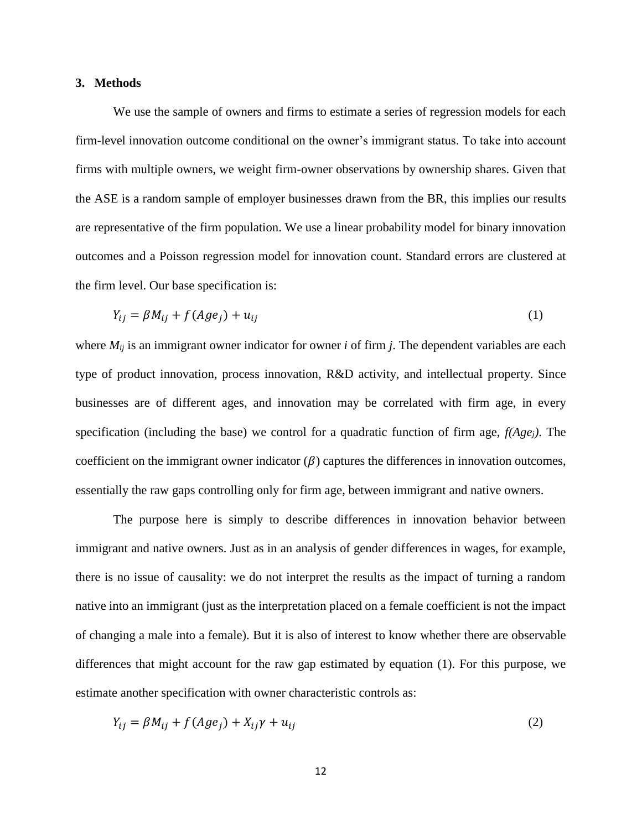#### **3. Methods**

We use the sample of owners and firms to estimate a series of regression models for each firm-level innovation outcome conditional on the owner's immigrant status. To take into account firms with multiple owners, we weight firm-owner observations by ownership shares. Given that the ASE is a random sample of employer businesses drawn from the BR, this implies our results are representative of the firm population. We use a linear probability model for binary innovation outcomes and a Poisson regression model for innovation count. Standard errors are clustered at the firm level. Our base specification is:

$$
Y_{ij} = \beta M_{ij} + f(Age_j) + u_{ij}
$$
 (1)

where *Mij* is an immigrant owner indicator for owner *i* of firm *j*. The dependent variables are each type of product innovation, process innovation, R&D activity, and intellectual property. Since businesses are of different ages, and innovation may be correlated with firm age, in every specification (including the base) we control for a quadratic function of firm age, *f(Agej)*. The coefficient on the immigrant owner indicator  $(\beta)$  captures the differences in innovation outcomes, essentially the raw gaps controlling only for firm age, between immigrant and native owners.

The purpose here is simply to describe differences in innovation behavior between immigrant and native owners. Just as in an analysis of gender differences in wages, for example, there is no issue of causality: we do not interpret the results as the impact of turning a random native into an immigrant (just as the interpretation placed on a female coefficient is not the impact of changing a male into a female). But it is also of interest to know whether there are observable differences that might account for the raw gap estimated by equation (1). For this purpose, we estimate another specification with owner characteristic controls as:

$$
Y_{ij} = \beta M_{ij} + f(Ag e_j) + X_{ij} \gamma + u_{ij}
$$
\n<sup>(2)</sup>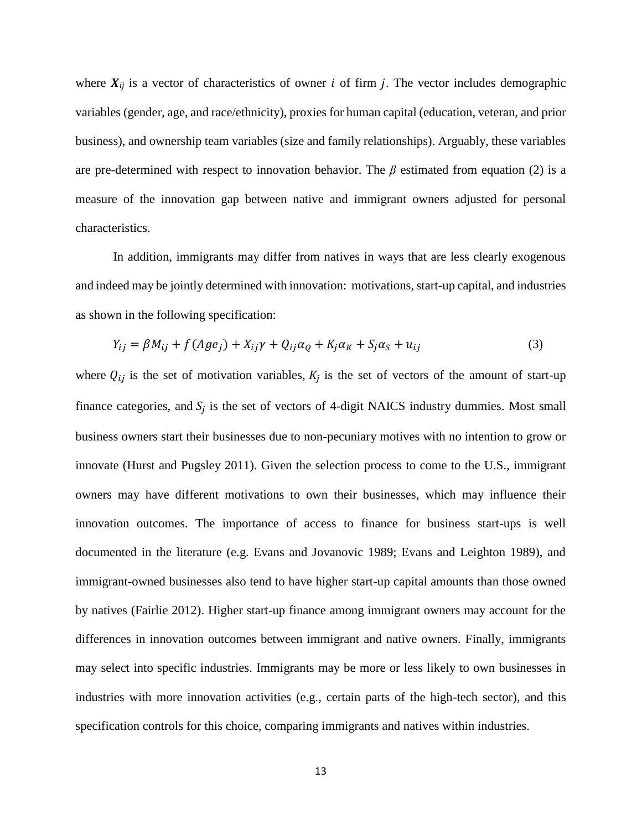where  $X_{ij}$  is a vector of characteristics of owner i of firm j. The vector includes demographic variables (gender, age, and race/ethnicity), proxies for human capital (education, veteran, and prior business), and ownership team variables (size and family relationships). Arguably, these variables are pre-determined with respect to innovation behavior. The *β* estimated from equation (2) is a measure of the innovation gap between native and immigrant owners adjusted for personal characteristics.

In addition, immigrants may differ from natives in ways that are less clearly exogenous and indeed may be jointly determined with innovation: motivations, start-up capital, and industries as shown in the following specification:

$$
Y_{ij} = \beta M_{ij} + f(Ag e_j) + X_{ij}\gamma + Q_{ij}\alpha_q + K_j\alpha_k + S_j\alpha_s + u_{ij}
$$
\n(3)

where  $Q_{ij}$  is the set of motivation variables,  $K_j$  is the set of vectors of the amount of start-up finance categories, and  $S_j$  is the set of vectors of 4-digit NAICS industry dummies. Most small business owners start their businesses due to non-pecuniary motives with no intention to grow or innovate (Hurst and Pugsley 2011). Given the selection process to come to the U.S., immigrant owners may have different motivations to own their businesses, which may influence their innovation outcomes. The importance of access to finance for business start-ups is well documented in the literature (e.g. Evans and Jovanovic 1989; Evans and Leighton 1989), and immigrant-owned businesses also tend to have higher start-up capital amounts than those owned by natives (Fairlie 2012). Higher start-up finance among immigrant owners may account for the differences in innovation outcomes between immigrant and native owners. Finally, immigrants may select into specific industries. Immigrants may be more or less likely to own businesses in industries with more innovation activities (e.g., certain parts of the high-tech sector), and this specification controls for this choice, comparing immigrants and natives within industries.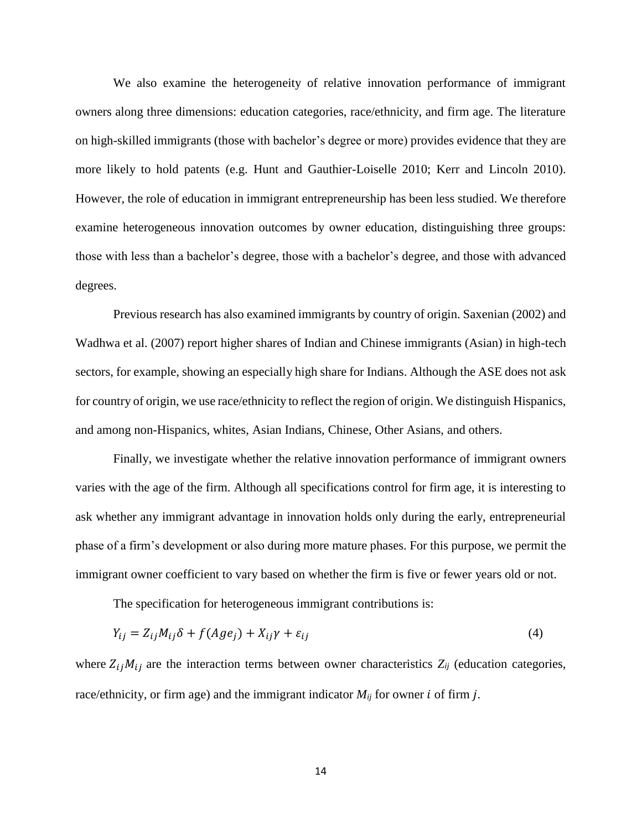We also examine the heterogeneity of relative innovation performance of immigrant owners along three dimensions: education categories, race/ethnicity, and firm age. The literature on high-skilled immigrants (those with bachelor's degree or more) provides evidence that they are more likely to hold patents (e.g. Hunt and Gauthier-Loiselle 2010; Kerr and Lincoln 2010). However, the role of education in immigrant entrepreneurship has been less studied. We therefore examine heterogeneous innovation outcomes by owner education, distinguishing three groups: those with less than a bachelor's degree, those with a bachelor's degree, and those with advanced degrees.

Previous research has also examined immigrants by country of origin. Saxenian (2002) and Wadhwa et al. (2007) report higher shares of Indian and Chinese immigrants (Asian) in high-tech sectors, for example, showing an especially high share for Indians. Although the ASE does not ask for country of origin, we use race/ethnicity to reflect the region of origin. We distinguish Hispanics, and among non-Hispanics, whites, Asian Indians, Chinese, Other Asians, and others.

Finally, we investigate whether the relative innovation performance of immigrant owners varies with the age of the firm. Although all specifications control for firm age, it is interesting to ask whether any immigrant advantage in innovation holds only during the early, entrepreneurial phase of a firm's development or also during more mature phases. For this purpose, we permit the immigrant owner coefficient to vary based on whether the firm is five or fewer years old or not.

The specification for heterogeneous immigrant contributions is:

$$
Y_{ij} = Z_{ij}M_{ij}\delta + f(Age_j) + X_{ij}\gamma + \varepsilon_{ij}
$$
\n<sup>(4)</sup>

where  $Z_{ij}M_{ij}$  are the interaction terms between owner characteristics  $Z_{ij}$  (education categories, race/ethnicity, or firm age) and the immigrant indicator  $M_{ij}$  for owner  $i$  of firm  $j$ .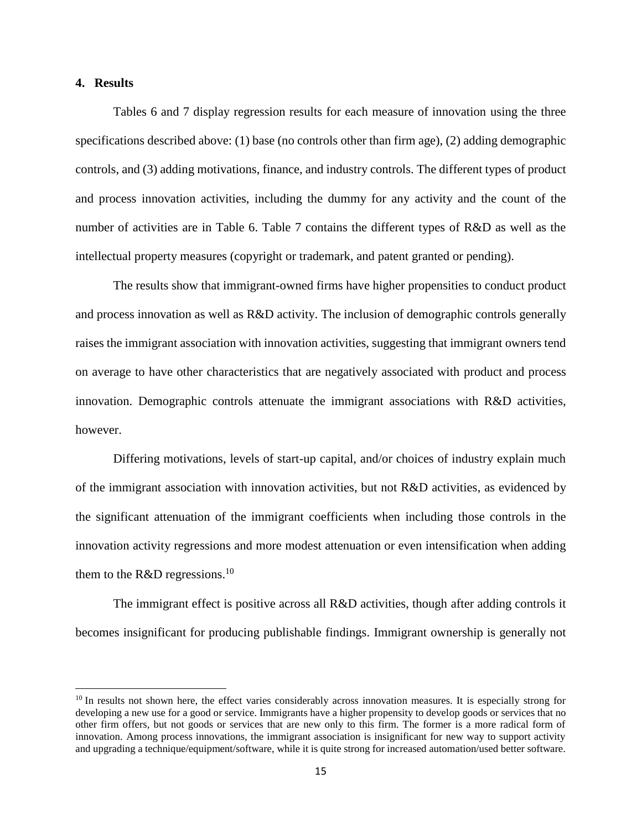## **4. Results**

 $\overline{a}$ 

Tables 6 and 7 display regression results for each measure of innovation using the three specifications described above: (1) base (no controls other than firm age), (2) adding demographic controls, and (3) adding motivations, finance, and industry controls. The different types of product and process innovation activities, including the dummy for any activity and the count of the number of activities are in Table 6. Table 7 contains the different types of R&D as well as the intellectual property measures (copyright or trademark, and patent granted or pending).

The results show that immigrant-owned firms have higher propensities to conduct product and process innovation as well as R&D activity. The inclusion of demographic controls generally raises the immigrant association with innovation activities, suggesting that immigrant owners tend on average to have other characteristics that are negatively associated with product and process innovation. Demographic controls attenuate the immigrant associations with R&D activities, however.

Differing motivations, levels of start-up capital, and/or choices of industry explain much of the immigrant association with innovation activities, but not R&D activities, as evidenced by the significant attenuation of the immigrant coefficients when including those controls in the innovation activity regressions and more modest attenuation or even intensification when adding them to the R&D regressions.<sup>10</sup>

The immigrant effect is positive across all R&D activities, though after adding controls it becomes insignificant for producing publishable findings. Immigrant ownership is generally not

<sup>&</sup>lt;sup>10</sup> In results not shown here, the effect varies considerably across innovation measures. It is especially strong for developing a new use for a good or service. Immigrants have a higher propensity to develop goods or services that no other firm offers, but not goods or services that are new only to this firm. The former is a more radical form of innovation. Among process innovations, the immigrant association is insignificant for new way to support activity and upgrading a technique/equipment/software, while it is quite strong for increased automation/used better software.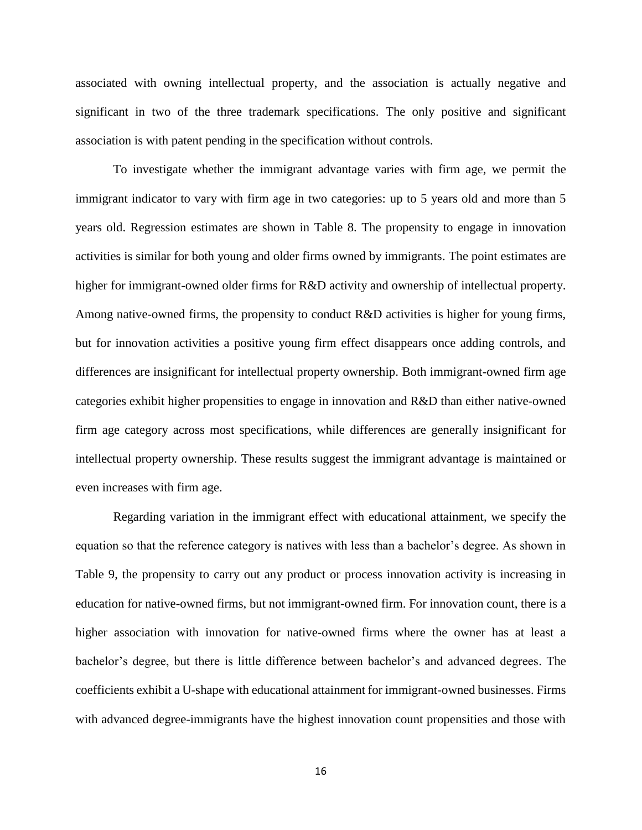associated with owning intellectual property, and the association is actually negative and significant in two of the three trademark specifications. The only positive and significant association is with patent pending in the specification without controls.

To investigate whether the immigrant advantage varies with firm age, we permit the immigrant indicator to vary with firm age in two categories: up to 5 years old and more than 5 years old. Regression estimates are shown in Table 8. The propensity to engage in innovation activities is similar for both young and older firms owned by immigrants. The point estimates are higher for immigrant-owned older firms for R&D activity and ownership of intellectual property. Among native-owned firms, the propensity to conduct R&D activities is higher for young firms, but for innovation activities a positive young firm effect disappears once adding controls, and differences are insignificant for intellectual property ownership. Both immigrant-owned firm age categories exhibit higher propensities to engage in innovation and R&D than either native-owned firm age category across most specifications, while differences are generally insignificant for intellectual property ownership. These results suggest the immigrant advantage is maintained or even increases with firm age.

Regarding variation in the immigrant effect with educational attainment, we specify the equation so that the reference category is natives with less than a bachelor's degree. As shown in Table 9, the propensity to carry out any product or process innovation activity is increasing in education for native-owned firms, but not immigrant-owned firm. For innovation count, there is a higher association with innovation for native-owned firms where the owner has at least a bachelor's degree, but there is little difference between bachelor's and advanced degrees. The coefficients exhibit a U-shape with educational attainment for immigrant-owned businesses. Firms with advanced degree-immigrants have the highest innovation count propensities and those with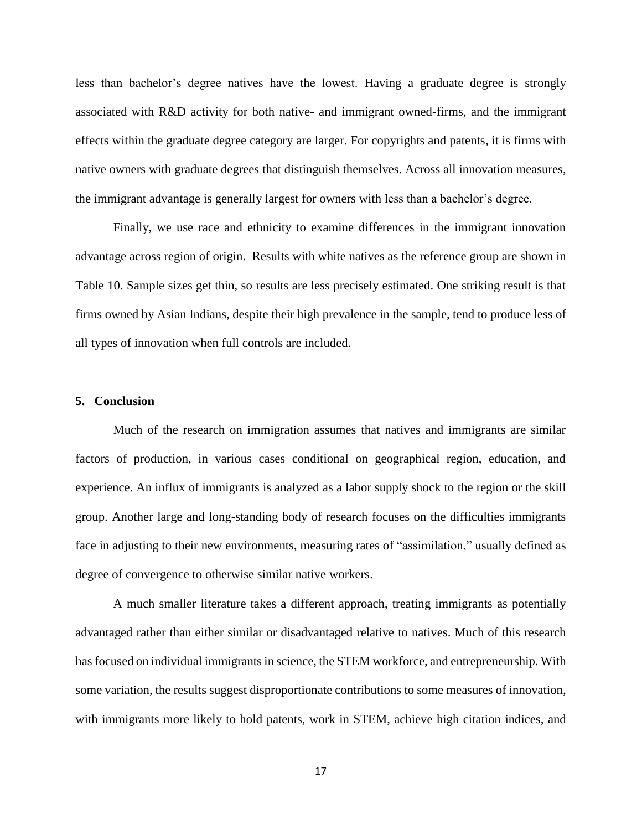less than bachelor's degree natives have the lowest. Having a graduate degree is strongly associated with R&D activity for both native- and immigrant owned-firms, and the immigrant effects within the graduate degree category are larger. For copyrights and patents, it is firms with native owners with graduate degrees that distinguish themselves. Across all innovation measures, the immigrant advantage is generally largest for owners with less than a bachelor's degree.

Finally, we use race and ethnicity to examine differences in the immigrant innovation advantage across region of origin. Results with white natives as the reference group are shown in Table 10. Sample sizes get thin, so results are less precisely estimated. One striking result is that firms owned by Asian Indians, despite their high prevalence in the sample, tend to produce less of all types of innovation when full controls are included.

#### **5. Conclusion**

Much of the research on immigration assumes that natives and immigrants are similar factors of production, in various cases conditional on geographical region, education, and experience. An influx of immigrants is analyzed as a labor supply shock to the region or the skill group. Another large and long-standing body of research focuses on the difficulties immigrants face in adjusting to their new environments, measuring rates of "assimilation," usually defined as degree of convergence to otherwise similar native workers.

A much smaller literature takes a different approach, treating immigrants as potentially advantaged rather than either similar or disadvantaged relative to natives. Much of this research has focused on individual immigrants in science, the STEM workforce, and entrepreneurship. With some variation, the results suggest disproportionate contributions to some measures of innovation, with immigrants more likely to hold patents, work in STEM, achieve high citation indices, and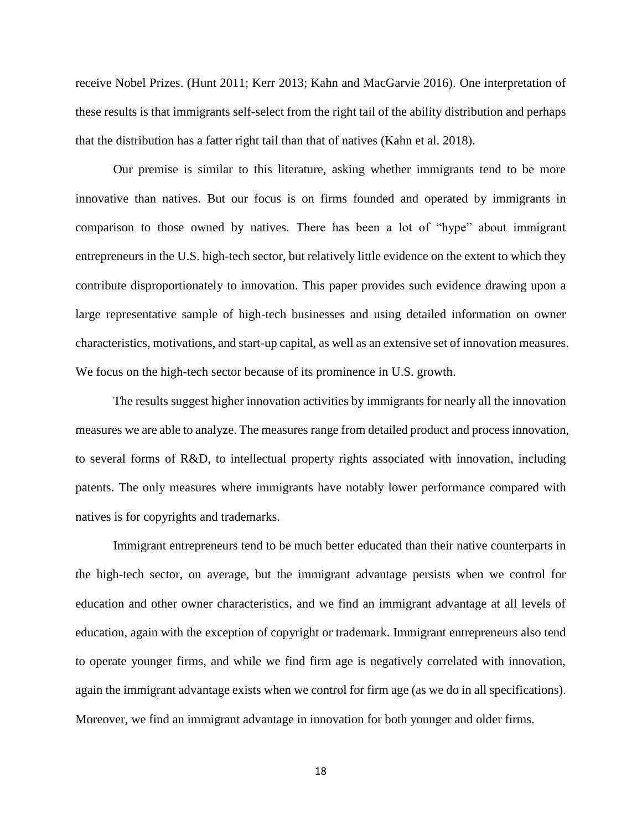receive Nobel Prizes. (Hunt 2011; Kerr 2013; Kahn and MacGarvie 2016). One interpretation of these results is that immigrants self-select from the right tail of the ability distribution and perhaps that the distribution has a fatter right tail than that of natives (Kahn et al. 2018).

Our premise is similar to this literature, asking whether immigrants tend to be more innovative than natives. But our focus is on firms founded and operated by immigrants in comparison to those owned by natives. There has been a lot of "hype" about immigrant entrepreneurs in the U.S. high-tech sector, but relatively little evidence on the extent to which they contribute disproportionately to innovation. This paper provides such evidence drawing upon a large representative sample of high-tech businesses and using detailed information on owner characteristics, motivations, and start-up capital, as well as an extensive set of innovation measures. We focus on the high-tech sector because of its prominence in U.S. growth.

The results suggest higher innovation activities by immigrants for nearly all the innovation measures we are able to analyze. The measures range from detailed product and process innovation, to several forms of R&D, to intellectual property rights associated with innovation, including patents. The only measures where immigrants have notably lower performance compared with natives is for copyrights and trademarks.

Immigrant entrepreneurs tend to be much better educated than their native counterparts in the high-tech sector, on average, but the immigrant advantage persists when we control for education and other owner characteristics, and we find an immigrant advantage at all levels of education, again with the exception of copyright or trademark. Immigrant entrepreneurs also tend to operate younger firms, and while we find firm age is negatively correlated with innovation, again the immigrant advantage exists when we control for firm age (as we do in all specifications). Moreover, we find an immigrant advantage in innovation for both younger and older firms.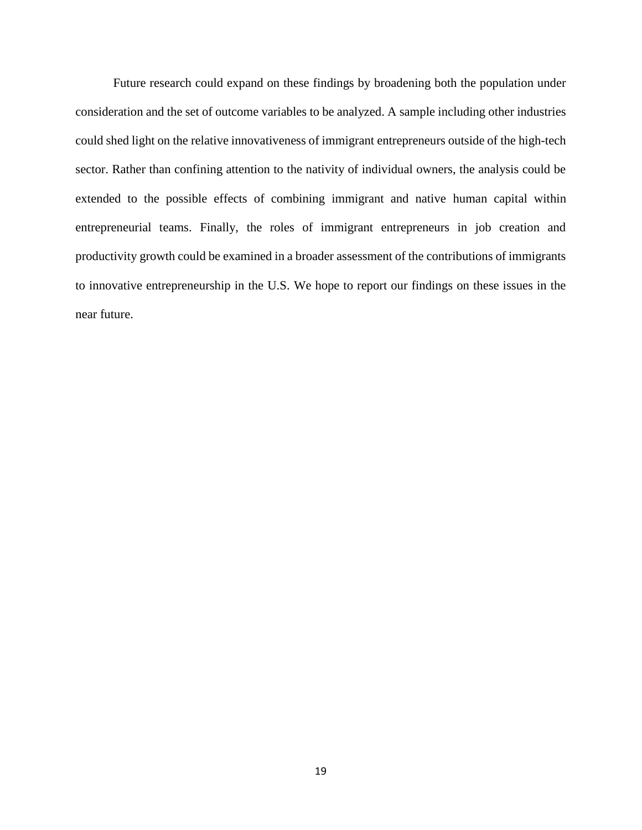Future research could expand on these findings by broadening both the population under consideration and the set of outcome variables to be analyzed. A sample including other industries could shed light on the relative innovativeness of immigrant entrepreneurs outside of the high-tech sector. Rather than confining attention to the nativity of individual owners, the analysis could be extended to the possible effects of combining immigrant and native human capital within entrepreneurial teams. Finally, the roles of immigrant entrepreneurs in job creation and productivity growth could be examined in a broader assessment of the contributions of immigrants to innovative entrepreneurship in the U.S. We hope to report our findings on these issues in the near future.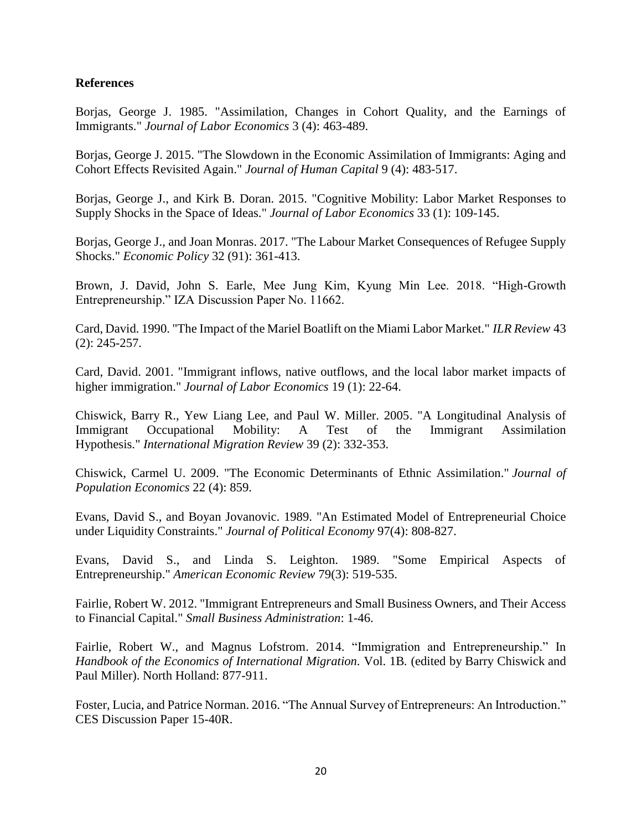## **References**

Borjas, George J. 1985. "Assimilation, Changes in Cohort Quality, and the Earnings of Immigrants." *Journal of Labor Economics* 3 (4): 463-489.

Borjas, George J. 2015. "The Slowdown in the Economic Assimilation of Immigrants: Aging and Cohort Effects Revisited Again." *Journal of Human Capital* 9 (4): 483-517.

Borjas, George J., and Kirk B. Doran. 2015. "Cognitive Mobility: Labor Market Responses to Supply Shocks in the Space of Ideas." *Journal of Labor Economics* 33 (1): 109-145.

Borjas, George J., and Joan Monras. 2017. "The Labour Market Consequences of Refugee Supply Shocks." *Economic Policy* 32 (91): 361-413.

Brown, J. David, John S. Earle, Mee Jung Kim, Kyung Min Lee. 2018. "High-Growth Entrepreneurship." IZA Discussion Paper No. 11662.

Card, David. 1990. "The Impact of the Mariel Boatlift on the Miami Labor Market." *ILR Review* 43 (2): 245-257.

Card, David. 2001. "Immigrant inflows, native outflows, and the local labor market impacts of higher immigration." *Journal of Labor Economics* 19 (1): 22-64.

Chiswick, Barry R., Yew Liang Lee, and Paul W. Miller. 2005. "A Longitudinal Analysis of Immigrant Occupational Mobility: A Test of the Immigrant Assimilation Hypothesis." *International Migration Review* 39 (2): 332-353.

Chiswick, Carmel U. 2009. "The Economic Determinants of Ethnic Assimilation." *Journal of Population Economics* 22 (4): 859.

Evans, David S., and Boyan Jovanovic. 1989. "An Estimated Model of Entrepreneurial Choice under Liquidity Constraints." *Journal of Political Economy* 97(4): 808-827.

Evans, David S., and Linda S. Leighton. 1989. "Some Empirical Aspects of Entrepreneurship." *American Economic Review* 79(3): 519-535.

Fairlie, Robert W. 2012. "Immigrant Entrepreneurs and Small Business Owners, and Their Access to Financial Capital." *Small Business Administration*: 1-46.

Fairlie, Robert W., and Magnus Lofstrom. 2014. "Immigration and Entrepreneurship." In *Handbook of the Economics of International Migration.* Vol. 1B*.* (edited by Barry Chiswick and Paul Miller). North Holland: 877-911.

Foster, Lucia, and Patrice Norman. 2016. "The Annual Survey of Entrepreneurs: An Introduction." CES Discussion Paper 15-40R.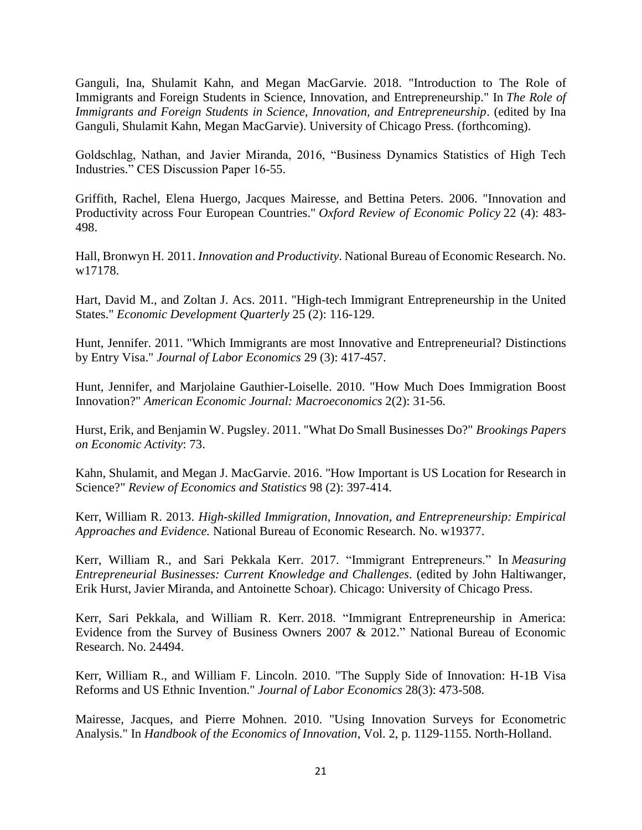Ganguli, Ina, Shulamit Kahn, and Megan MacGarvie. 2018. "Introduction to The Role of Immigrants and Foreign Students in Science, Innovation, and Entrepreneurship." In *The Role of Immigrants and Foreign Students in Science, Innovation, and Entrepreneurship.* (edited by Ina Ganguli, Shulamit Kahn, Megan MacGarvie). University of Chicago Press. (forthcoming).

Goldschlag, Nathan, and Javier Miranda, 2016, "Business Dynamics Statistics of High Tech Industries." CES Discussion Paper 16-55.

Griffith, Rachel, Elena Huergo, Jacques Mairesse, and Bettina Peters. 2006. "Innovation and Productivity across Four European Countries." *Oxford Review of Economic Policy* 22 (4): 483- 498.

Hall, Bronwyn H. 2011. *Innovation and Productivity*. National Bureau of Economic Research. No. w17178.

Hart, David M., and Zoltan J. Acs. 2011. "High-tech Immigrant Entrepreneurship in the United States." *Economic Development Quarterly* 25 (2): 116-129.

Hunt, Jennifer. 2011. "Which Immigrants are most Innovative and Entrepreneurial? Distinctions by Entry Visa." *Journal of Labor Economics* 29 (3): 417-457.

Hunt, Jennifer, and Marjolaine Gauthier-Loiselle. 2010. "How Much Does Immigration Boost Innovation?" *American Economic Journal: Macroeconomics* 2(2): 31-56.

Hurst, Erik, and Benjamin W. Pugsley. 2011. "What Do Small Businesses Do?" *Brookings Papers on Economic Activity*: 73.

Kahn, Shulamit, and Megan J. MacGarvie. 2016. "How Important is US Location for Research in Science?" *Review of Economics and Statistics* 98 (2): 397-414.

Kerr, William R. 2013. *High-skilled Immigration, Innovation, and Entrepreneurship: Empirical Approaches and Evidence.* National Bureau of Economic Research. No. w19377.

Kerr, William R., and Sari Pekkala Kerr. 2017. "Immigrant Entrepreneurs." In *Measuring Entrepreneurial Businesses: Current Knowledge and Challenges*. (edited by John Haltiwanger, Erik Hurst, Javier Miranda, and Antoinette Schoar). Chicago: University of Chicago Press.

Kerr, Sari Pekkala, and William R. Kerr. 2018. "Immigrant Entrepreneurship in America: Evidence from the Survey of Business Owners 2007 & 2012." National Bureau of Economic Research. No. 24494.

Kerr, William R., and William F. Lincoln. 2010. "The Supply Side of Innovation: H-1B Visa Reforms and US Ethnic Invention." *Journal of Labor Economics* 28(3): 473-508.

Mairesse, Jacques, and Pierre Mohnen. 2010. "Using Innovation Surveys for Econometric Analysis." In *Handbook of the Economics of Innovation*, Vol. 2, p. 1129-1155. North-Holland.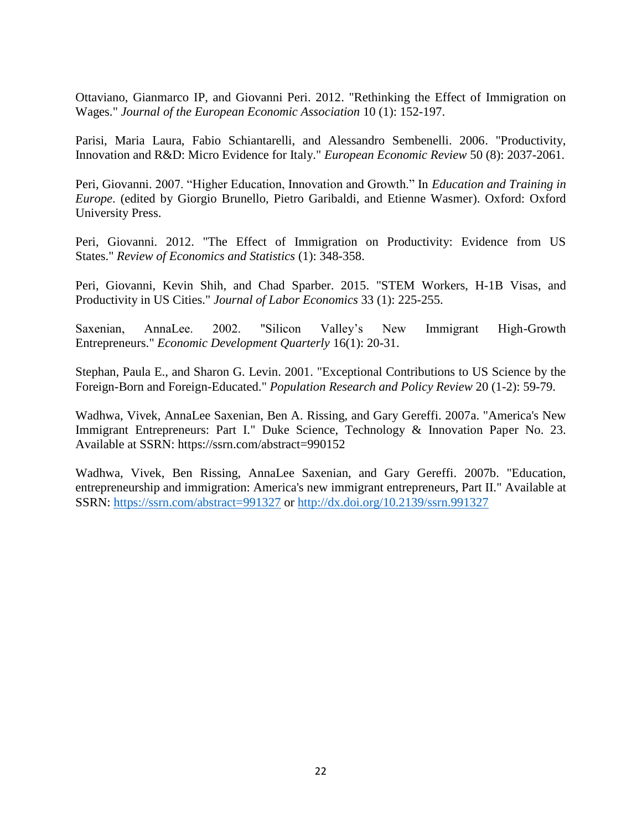Ottaviano, Gianmarco IP, and Giovanni Peri. 2012. "Rethinking the Effect of Immigration on Wages." *Journal of the European Economic Association* 10 (1): 152-197.

Parisi, Maria Laura, Fabio Schiantarelli, and Alessandro Sembenelli. 2006. "Productivity, Innovation and R&D: Micro Evidence for Italy." *European Economic Review* 50 (8): 2037-2061.

Peri, Giovanni. 2007. "Higher Education, Innovation and Growth." In *Education and Training in Europe*. (edited by Giorgio Brunello, Pietro Garibaldi, and Etienne Wasmer). Oxford: Oxford University Press.

Peri, Giovanni. 2012. "The Effect of Immigration on Productivity: Evidence from US States." *Review of Economics and Statistics* (1): 348-358.

Peri, Giovanni, Kevin Shih, and Chad Sparber. 2015. "STEM Workers, H-1B Visas, and Productivity in US Cities." *Journal of Labor Economics* 33 (1): 225-255.

Saxenian, AnnaLee. 2002. "Silicon Valley's New Immigrant High-Growth Entrepreneurs." *Economic Development Quarterly* 16(1): 20-31.

Stephan, Paula E., and Sharon G. Levin. 2001. "Exceptional Contributions to US Science by the Foreign-Born and Foreign-Educated." *Population Research and Policy Review* 20 (1-2): 59-79.

Wadhwa, Vivek, AnnaLee Saxenian, Ben A. Rissing, and Gary Gereffi. 2007a. "America's New Immigrant Entrepreneurs: Part I." Duke Science, Technology & Innovation Paper No. 23. Available at SSRN: https://ssrn.com/abstract=990152

Wadhwa, Vivek, Ben Rissing, AnnaLee Saxenian, and Gary Gereffi. 2007b. "Education, entrepreneurship and immigration: America's new immigrant entrepreneurs, Part II." Available at SSRN: <https://ssrn.com/abstract=991327> or [http://dx.doi.org/10.2139/ssrn.991327](https://dx.doi.org/10.2139/ssrn.991327)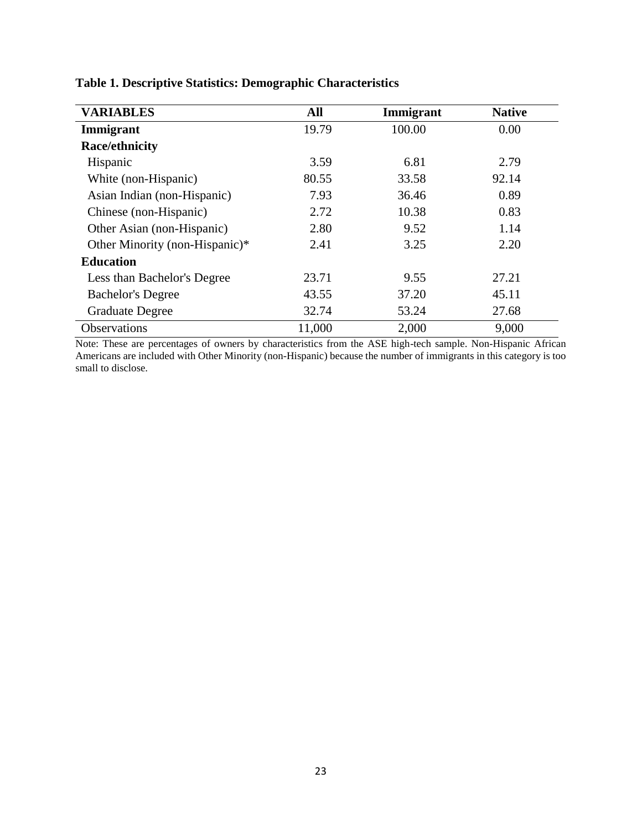| <b>VARIABLES</b>               | All    | Immigrant | <b>Native</b> |
|--------------------------------|--------|-----------|---------------|
| Immigrant                      | 19.79  | 100.00    | 0.00          |
| <b>Race/ethnicity</b>          |        |           |               |
| Hispanic                       | 3.59   | 6.81      | 2.79          |
| White (non-Hispanic)           | 80.55  | 33.58     | 92.14         |
| Asian Indian (non-Hispanic)    | 7.93   | 36.46     | 0.89          |
| Chinese (non-Hispanic)         | 2.72   | 10.38     | 0.83          |
| Other Asian (non-Hispanic)     | 2.80   | 9.52      | 1.14          |
| Other Minority (non-Hispanic)* | 2.41   | 3.25      | 2.20          |
| <b>Education</b>               |        |           |               |
| Less than Bachelor's Degree    | 23.71  | 9.55      | 27.21         |
| <b>Bachelor's Degree</b>       | 43.55  | 37.20     | 45.11         |
| <b>Graduate Degree</b>         | 32.74  | 53.24     | 27.68         |
| <b>Observations</b>            | 11,000 | 2,000     | 9,000         |

**Table 1. Descriptive Statistics: Demographic Characteristics** 

Note: These are percentages of owners by characteristics from the ASE high-tech sample. Non-Hispanic African Americans are included with Other Minority (non-Hispanic) because the number of immigrants in this category is too small to disclose.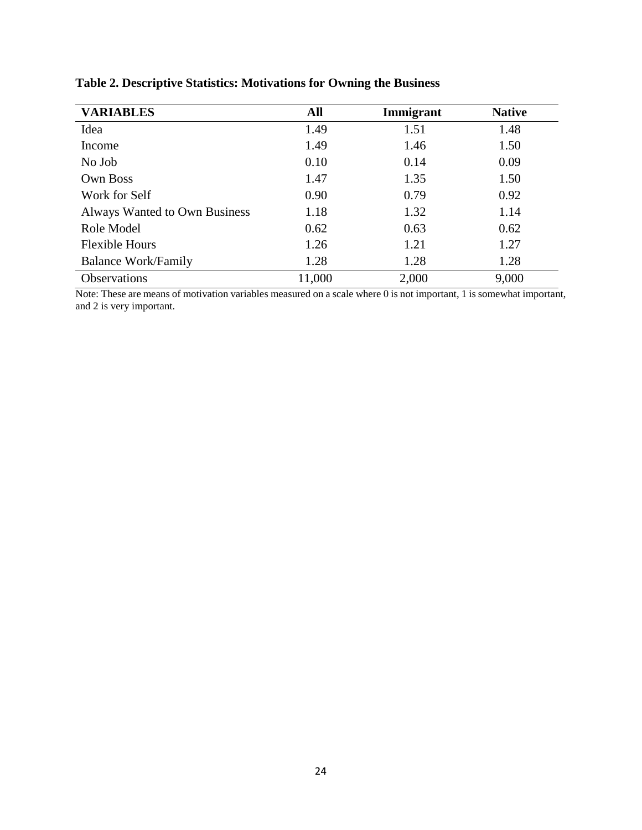| <b>VARIABLES</b>              | All    | Immigrant | <b>Native</b> |
|-------------------------------|--------|-----------|---------------|
| Idea                          | 1.49   | 1.51      | 1.48          |
| Income                        | 1.49   | 1.46      | 1.50          |
| No Job                        | 0.10   | 0.14      | 0.09          |
| <b>Own Boss</b>               | 1.47   | 1.35      | 1.50          |
| Work for Self                 | 0.90   | 0.79      | 0.92          |
| Always Wanted to Own Business | 1.18   | 1.32      | 1.14          |
| Role Model                    | 0.62   | 0.63      | 0.62          |
| <b>Flexible Hours</b>         | 1.26   | 1.21      | 1.27          |
| <b>Balance Work/Family</b>    | 1.28   | 1.28      | 1.28          |
| Observations                  | 11,000 | 2,000     | 9,000         |

**Table 2. Descriptive Statistics: Motivations for Owning the Business**

Note: These are means of motivation variables measured on a scale where 0 is not important, 1 is somewhat important, and 2 is very important.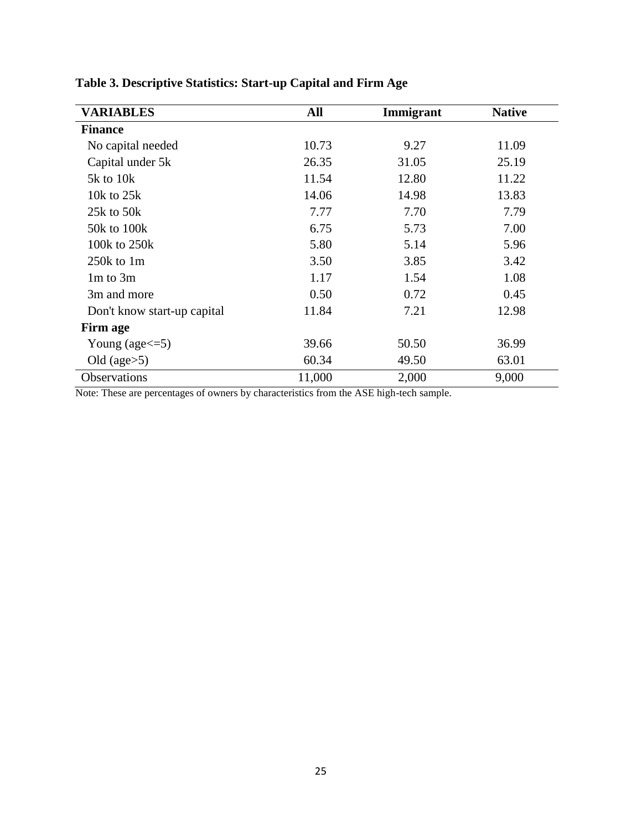| <b>VARIABLES</b>            | All    | Immigrant | <b>Native</b> |
|-----------------------------|--------|-----------|---------------|
| <b>Finance</b>              |        |           |               |
| No capital needed           | 10.73  | 9.27      | 11.09         |
| Capital under 5k            | 26.35  | 31.05     | 25.19         |
| $5k$ to $10k$               | 11.54  | 12.80     | 11.22         |
| 10 $k$ to 25 $k$            | 14.06  | 14.98     | 13.83         |
| 25 $k$ to 50 $k$            | 7.77   | 7.70      | 7.79          |
| 50k to 100k                 | 6.75   | 5.73      | 7.00          |
| 100k to 250k                | 5.80   | 5.14      | 5.96          |
| $250k$ to 1m                | 3.50   | 3.85      | 3.42          |
| $1m$ to $3m$                | 1.17   | 1.54      | 1.08          |
| 3m and more                 | 0.50   | 0.72      | 0.45          |
| Don't know start-up capital | 11.84  | 7.21      | 12.98         |
| Firm age                    |        |           |               |
| Young (age $\leq$ =5)       | 39.66  | 50.50     | 36.99         |
| Old (age $>5$ )             | 60.34  | 49.50     | 63.01         |
| Observations                | 11,000 | 2,000     | 9,000         |

| Table 3. Descriptive Statistics: Start-up Capital and Firm Age |  |  |  |  |  |  |  |  |  |  |  |  |  |  |
|----------------------------------------------------------------|--|--|--|--|--|--|--|--|--|--|--|--|--|--|
|----------------------------------------------------------------|--|--|--|--|--|--|--|--|--|--|--|--|--|--|

Note: These are percentages of owners by characteristics from the ASE high-tech sample.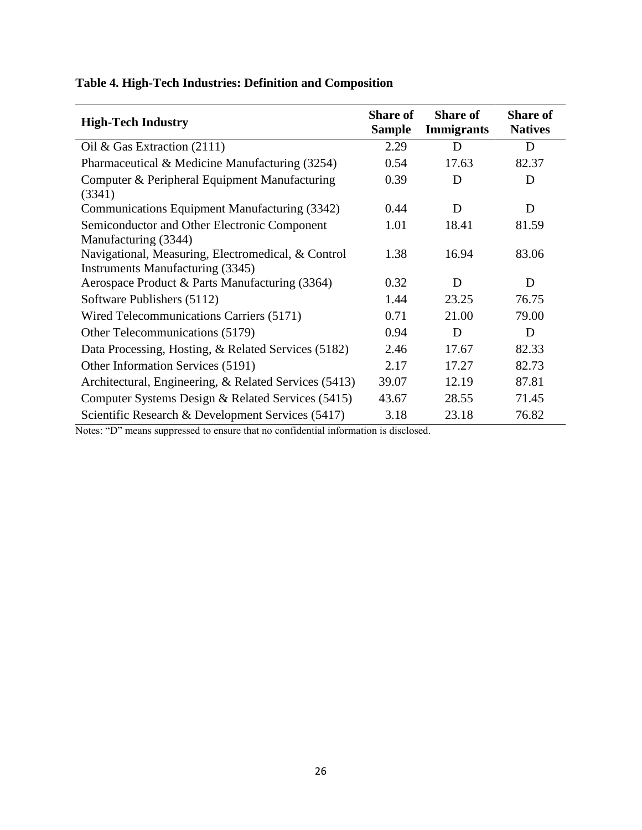| <b>High-Tech Industry</b>                               | <b>Share of</b><br><b>Sample</b> | <b>Share of</b><br><b>Immigrants</b> | <b>Share of</b><br><b>Natives</b> |
|---------------------------------------------------------|----------------------------------|--------------------------------------|-----------------------------------|
| Oil & Gas Extraction $(2111)$                           | 2.29                             | D                                    | D                                 |
| Pharmaceutical & Medicine Manufacturing (3254)          | 0.54                             | 17.63                                | 82.37                             |
| Computer & Peripheral Equipment Manufacturing<br>(3341) | 0.39                             | D                                    | D                                 |
| Communications Equipment Manufacturing (3342)           | 0.44                             | D                                    | D                                 |
| Semiconductor and Other Electronic Component            | 1.01                             | 18.41                                | 81.59                             |
| Manufacturing (3344)                                    |                                  |                                      |                                   |
| Navigational, Measuring, Electromedical, & Control      | 1.38                             | 16.94                                | 83.06                             |
| <b>Instruments Manufacturing (3345)</b>                 |                                  |                                      |                                   |
| Aerospace Product & Parts Manufacturing (3364)          | 0.32                             | D                                    | D                                 |
| Software Publishers (5112)                              | 1.44                             | 23.25                                | 76.75                             |
| Wired Telecommunications Carriers (5171)                | 0.71                             | 21.00                                | 79.00                             |
| Other Telecommunications (5179)                         | 0.94                             | D                                    | D                                 |
| Data Processing, Hosting, & Related Services (5182)     | 2.46                             | 17.67                                | 82.33                             |
| Other Information Services (5191)                       | 2.17                             | 17.27                                | 82.73                             |
| Architectural, Engineering, & Related Services (5413)   | 39.07                            | 12.19                                | 87.81                             |
| Computer Systems Design & Related Services (5415)       | 43.67                            | 28.55                                | 71.45                             |
| Scientific Research & Development Services (5417)       | 3.18                             | 23.18                                | 76.82                             |

# **Table 4. High-Tech Industries: Definition and Composition**

Notes: "D" means suppressed to ensure that no confidential information is disclosed.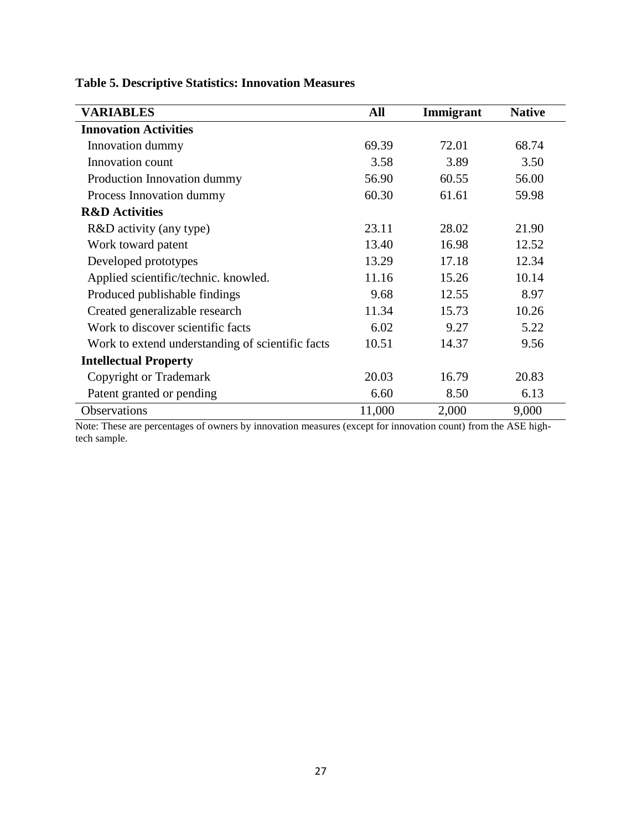| <b>VARIABLES</b>                                 | All    | Immigrant | <b>Native</b> |
|--------------------------------------------------|--------|-----------|---------------|
| <b>Innovation Activities</b>                     |        |           |               |
| Innovation dummy                                 | 69.39  | 72.01     | 68.74         |
| Innovation count                                 | 3.58   | 3.89      | 3.50          |
| Production Innovation dummy                      | 56.90  | 60.55     | 56.00         |
| Process Innovation dummy                         | 60.30  | 61.61     | 59.98         |
| <b>R&amp;D</b> Activities                        |        |           |               |
| R&D activity (any type)                          | 23.11  | 28.02     | 21.90         |
| Work toward patent                               | 13.40  | 16.98     | 12.52         |
| Developed prototypes                             | 13.29  | 17.18     | 12.34         |
| Applied scientific/technic. knowled.             | 11.16  | 15.26     | 10.14         |
| Produced publishable findings                    | 9.68   | 12.55     | 8.97          |
| Created generalizable research                   | 11.34  | 15.73     | 10.26         |
| Work to discover scientific facts                | 6.02   | 9.27      | 5.22          |
| Work to extend understanding of scientific facts | 10.51  | 14.37     | 9.56          |
| <b>Intellectual Property</b>                     |        |           |               |
| Copyright or Trademark                           | 20.03  | 16.79     | 20.83         |
| Patent granted or pending                        | 6.60   | 8.50      | 6.13          |
| Observations                                     | 11,000 | 2,000     | 9,000         |

# **Table 5. Descriptive Statistics: Innovation Measures**

Note: These are percentages of owners by innovation measures (except for innovation count) from the ASE hightech sample.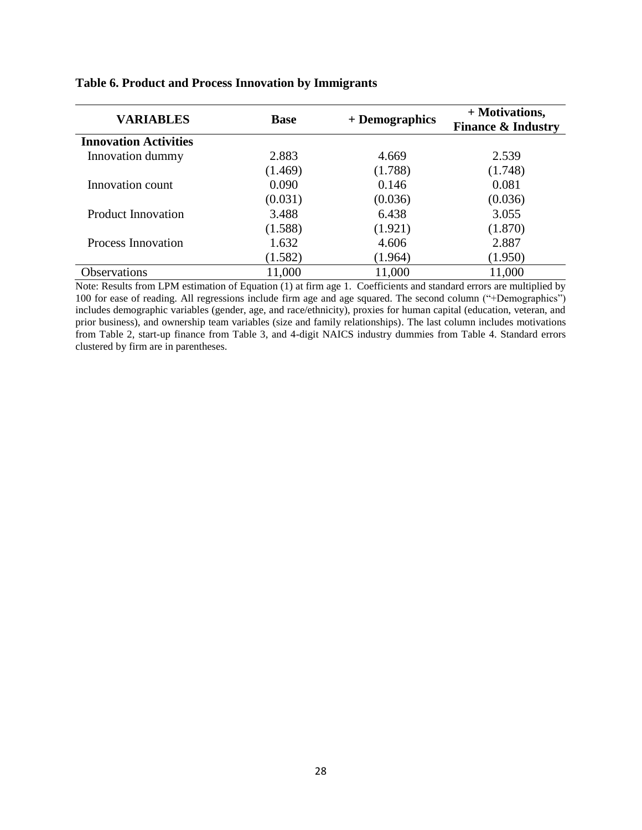| <b>VARIABLES</b>             | <b>Base</b> | + Demographics | + Motivations,<br><b>Finance &amp; Industry</b> |
|------------------------------|-------------|----------------|-------------------------------------------------|
| <b>Innovation Activities</b> |             |                |                                                 |
| Innovation dummy             | 2.883       | 4.669          | 2.539                                           |
|                              | (1.469)     | (1.788)        | (1.748)                                         |
| Innovation count             | 0.090       | 0.146          | 0.081                                           |
|                              | (0.031)     | (0.036)        | (0.036)                                         |
| <b>Product Innovation</b>    | 3.488       | 6.438          | 3.055                                           |
|                              | (1.588)     | (1.921)        | (1.870)                                         |
| Process Innovation           | 1.632       | 4.606          | 2.887                                           |
|                              | (1.582)     | (1.964)        | (1.950)                                         |
| <b>Observations</b>          | 11,000      | 11,000         | 11,000                                          |

# **Table 6. Product and Process Innovation by Immigrants**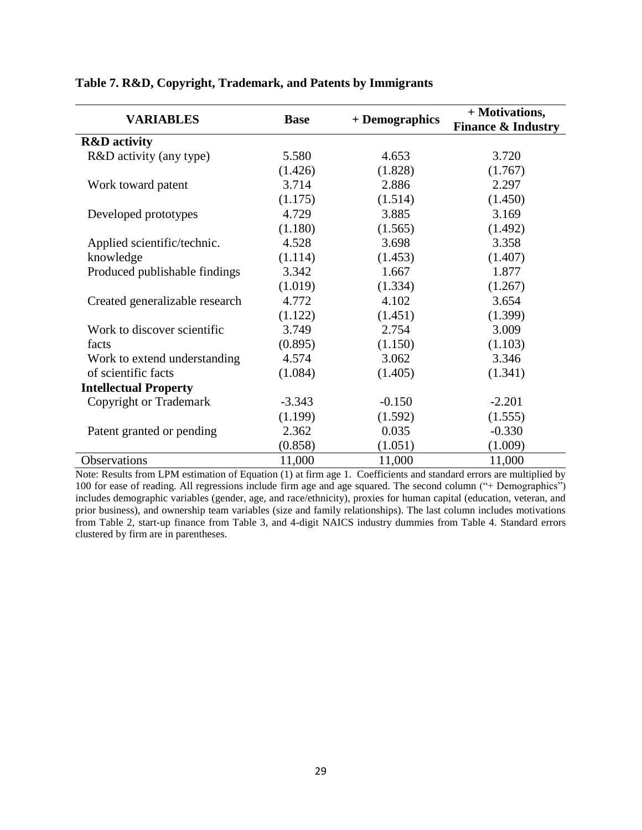| <b>VARIABLES</b>               | <b>Base</b> |                | + Motivations,                |
|--------------------------------|-------------|----------------|-------------------------------|
|                                |             | + Demographics | <b>Finance &amp; Industry</b> |
| <b>R&amp;D</b> activity        |             |                |                               |
| R&D activity (any type)        | 5.580       | 4.653          | 3.720                         |
|                                | (1.426)     | (1.828)        | (1.767)                       |
| Work toward patent             | 3.714       | 2.886          | 2.297                         |
|                                | (1.175)     | (1.514)        | (1.450)                       |
| Developed prototypes           | 4.729       | 3.885          | 3.169                         |
|                                | (1.180)     | (1.565)        | (1.492)                       |
| Applied scientific/technic.    | 4.528       | 3.698          | 3.358                         |
| knowledge                      | (1.114)     | (1.453)        | (1.407)                       |
| Produced publishable findings  | 3.342       | 1.667          | 1.877                         |
|                                | (1.019)     | (1.334)        | (1.267)                       |
| Created generalizable research | 4.772       | 4.102          | 3.654                         |
|                                | (1.122)     | (1.451)        | (1.399)                       |
| Work to discover scientific    | 3.749       | 2.754          | 3.009                         |
| facts                          | (0.895)     | (1.150)        | (1.103)                       |
| Work to extend understanding   | 4.574       | 3.062          | 3.346                         |
| of scientific facts            | (1.084)     | (1.405)        | (1.341)                       |
| <b>Intellectual Property</b>   |             |                |                               |
| Copyright or Trademark         | $-3.343$    | $-0.150$       | $-2.201$                      |
|                                | (1.199)     | (1.592)        | (1.555)                       |
| Patent granted or pending      | 2.362       | 0.035          | $-0.330$                      |
|                                | (0.858)     | (1.051)        | (1.009)                       |
| Observations                   | 11,000      | 11,000         | 11,000                        |

# **Table 7. R&D, Copyright, Trademark, and Patents by Immigrants**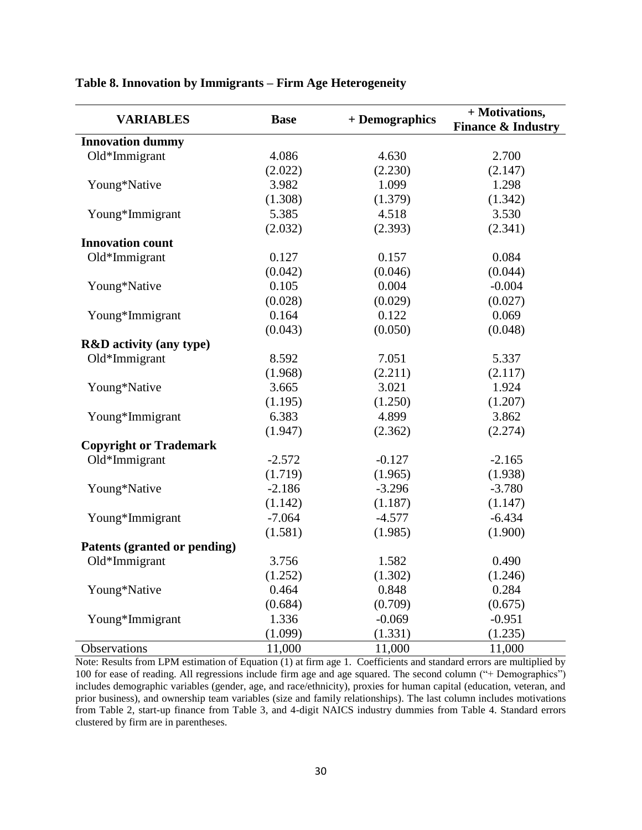| <b>VARIABLES</b>                   | <b>Base</b> | + Demographics | + Motivations,<br><b>Finance &amp; Industry</b> |
|------------------------------------|-------------|----------------|-------------------------------------------------|
| <b>Innovation dummy</b>            |             |                |                                                 |
| Old*Immigrant                      | 4.086       | 4.630          | 2.700                                           |
|                                    | (2.022)     | (2.230)        | (2.147)                                         |
| Young*Native                       | 3.982       | 1.099          | 1.298                                           |
|                                    | (1.308)     | (1.379)        | (1.342)                                         |
| Young*Immigrant                    | 5.385       | 4.518          | 3.530                                           |
|                                    | (2.032)     | (2.393)        | (2.341)                                         |
| <b>Innovation count</b>            |             |                |                                                 |
| Old*Immigrant                      | 0.127       | 0.157          | 0.084                                           |
|                                    | (0.042)     | (0.046)        | (0.044)                                         |
| Young*Native                       | 0.105       | 0.004          | $-0.004$                                        |
|                                    | (0.028)     | (0.029)        | (0.027)                                         |
| Young*Immigrant                    | 0.164       | 0.122          | 0.069                                           |
|                                    | (0.043)     | (0.050)        | (0.048)                                         |
| <b>R&amp;D</b> activity (any type) |             |                |                                                 |
| Old*Immigrant                      | 8.592       | 7.051          | 5.337                                           |
|                                    | (1.968)     | (2.211)        | (2.117)                                         |
| Young*Native                       | 3.665       | 3.021          | 1.924                                           |
|                                    | (1.195)     | (1.250)        | (1.207)                                         |
| Young*Immigrant                    | 6.383       | 4.899          | 3.862                                           |
|                                    | (1.947)     | (2.362)        | (2.274)                                         |
| <b>Copyright or Trademark</b>      |             |                |                                                 |
| Old*Immigrant                      | $-2.572$    | $-0.127$       | $-2.165$                                        |
|                                    | (1.719)     | (1.965)        | (1.938)                                         |
| Young*Native                       | $-2.186$    | $-3.296$       | $-3.780$                                        |
|                                    | (1.142)     | (1.187)        | (1.147)                                         |
| Young*Immigrant                    | $-7.064$    | $-4.577$       | $-6.434$                                        |
|                                    | (1.581)     | (1.985)        | (1.900)                                         |
| Patents (granted or pending)       |             |                |                                                 |
| Old*Immigrant                      | 3.756       | 1.582          | 0.490                                           |
|                                    | (1.252)     | (1.302)        | (1.246)                                         |
| Young*Native                       | 0.464       | 0.848          | 0.284                                           |
|                                    | (0.684)     | (0.709)        | (0.675)                                         |
| Young*Immigrant                    | 1.336       | $-0.069$       | $-0.951$                                        |
|                                    | (1.099)     | (1.331)        | (1.235)                                         |
| Observations                       | 11,000      | 11,000         | 11,000                                          |

# **Table 8. Innovation by Immigrants – Firm Age Heterogeneity**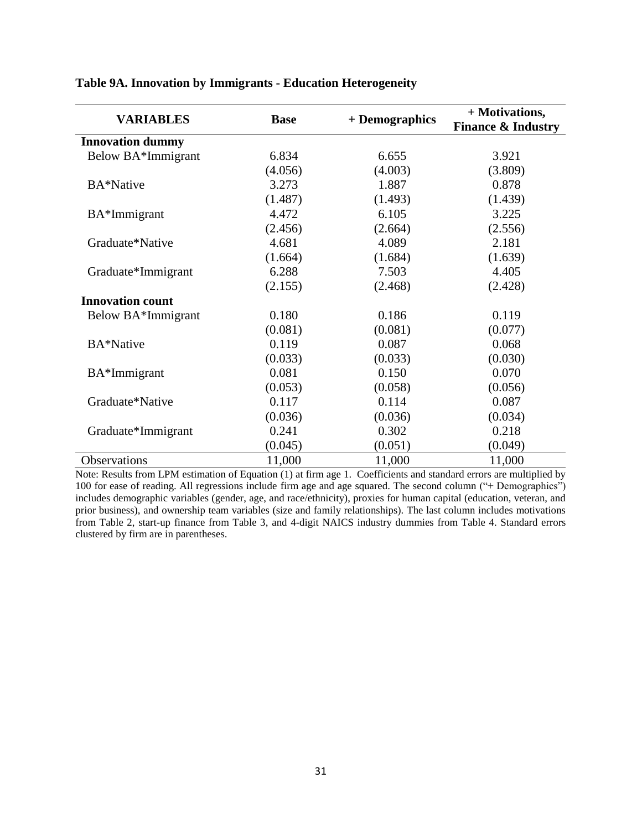| <b>VARIABLES</b>        | <b>Base</b> | + Demographics | + Motivations,<br><b>Finance &amp; Industry</b> |
|-------------------------|-------------|----------------|-------------------------------------------------|
| <b>Innovation dummy</b> |             |                |                                                 |
| Below BA*Immigrant      | 6.834       | 6.655          | 3.921                                           |
|                         | (4.056)     | (4.003)        | (3.809)                                         |
| BA*Native               | 3.273       | 1.887          | 0.878                                           |
|                         | (1.487)     | (1.493)        | (1.439)                                         |
| BA*Immigrant            | 4.472       | 6.105          | 3.225                                           |
|                         | (2.456)     | (2.664)        | (2.556)                                         |
| Graduate*Native         | 4.681       | 4.089          | 2.181                                           |
|                         | (1.664)     | (1.684)        | (1.639)                                         |
| Graduate*Immigrant      | 6.288       | 7.503          | 4.405                                           |
|                         | (2.155)     | (2.468)        | (2.428)                                         |
| <b>Innovation count</b> |             |                |                                                 |
| Below BA*Immigrant      | 0.180       | 0.186          | 0.119                                           |
|                         | (0.081)     | (0.081)        | (0.077)                                         |
| BA*Native               | 0.119       | 0.087          | 0.068                                           |
|                         | (0.033)     | (0.033)        | (0.030)                                         |
| BA*Immigrant            | 0.081       | 0.150          | 0.070                                           |
|                         | (0.053)     | (0.058)        | (0.056)                                         |
| Graduate*Native         | 0.117       | 0.114          | 0.087                                           |
|                         | (0.036)     | (0.036)        | (0.034)                                         |
| Graduate*Immigrant      | 0.241       | 0.302          | 0.218                                           |
|                         | (0.045)     | (0.051)        | (0.049)                                         |
| Observations            | 11,000      | 11,000         | 11,000                                          |

# **Table 9A. Innovation by Immigrants - Education Heterogeneity**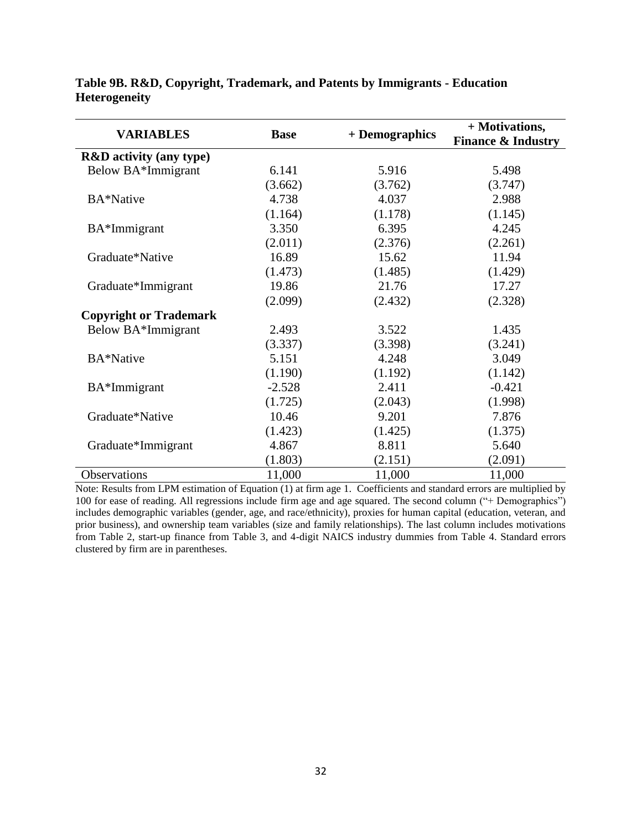| <b>VARIABLES</b>                   |             |                | + Motivations,                |
|------------------------------------|-------------|----------------|-------------------------------|
|                                    | <b>Base</b> | + Demographics | <b>Finance &amp; Industry</b> |
| <b>R&amp;D</b> activity (any type) |             |                |                               |
| Below BA*Immigrant                 | 6.141       | 5.916          | 5.498                         |
|                                    | (3.662)     | (3.762)        | (3.747)                       |
| BA*Native                          | 4.738       | 4.037          | 2.988                         |
|                                    | (1.164)     | (1.178)        | (1.145)                       |
| BA*Immigrant                       | 3.350       | 6.395          | 4.245                         |
|                                    | (2.011)     | (2.376)        | (2.261)                       |
| Graduate*Native                    | 16.89       | 15.62          | 11.94                         |
|                                    | (1.473)     | (1.485)        | (1.429)                       |
| Graduate*Immigrant                 | 19.86       | 21.76          | 17.27                         |
|                                    | (2.099)     | (2.432)        | (2.328)                       |
| <b>Copyright or Trademark</b>      |             |                |                               |
| Below BA*Immigrant                 | 2.493       | 3.522          | 1.435                         |
|                                    | (3.337)     | (3.398)        | (3.241)                       |
| BA*Native                          | 5.151       | 4.248          | 3.049                         |
|                                    | (1.190)     | (1.192)        | (1.142)                       |
| BA*Immigrant                       | $-2.528$    | 2.411          | $-0.421$                      |
|                                    | (1.725)     | (2.043)        | (1.998)                       |
| Graduate*Native                    | 10.46       | 9.201          | 7.876                         |
|                                    | (1.423)     | (1.425)        | (1.375)                       |
| Graduate*Immigrant                 | 4.867       | 8.811          | 5.640                         |
|                                    | (1.803)     | (2.151)        | (2.091)                       |
| Observations                       | 11,000      | 11,000         | 11,000                        |

## **Table 9B. R&D, Copyright, Trademark, and Patents by Immigrants - Education Heterogeneity**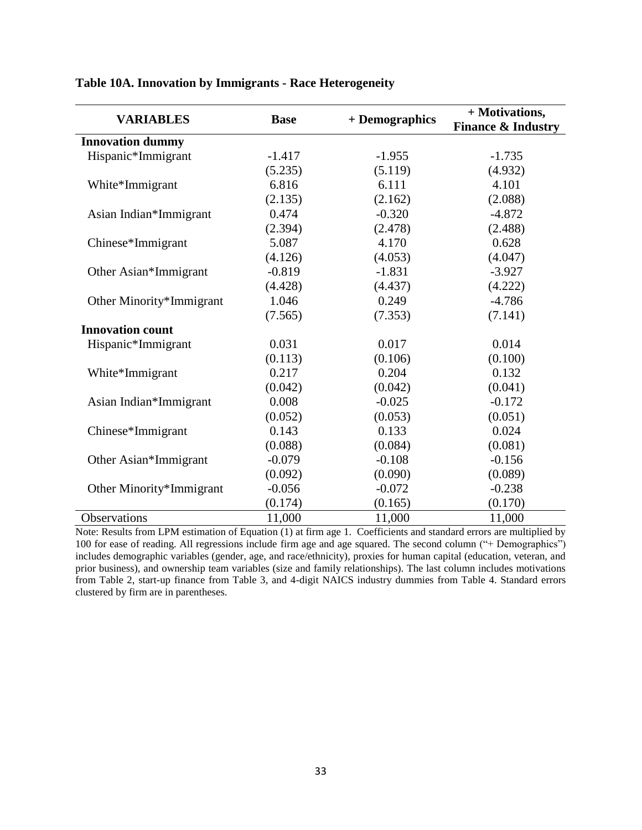| <b>VARIABLES</b>         | <b>Base</b> | + Demographics | + Motivations,<br><b>Finance &amp; Industry</b> |
|--------------------------|-------------|----------------|-------------------------------------------------|
| <b>Innovation dummy</b>  |             |                |                                                 |
| Hispanic*Immigrant       | $-1.417$    | $-1.955$       | $-1.735$                                        |
|                          | (5.235)     | (5.119)        | (4.932)                                         |
| White*Immigrant          | 6.816       | 6.111          | 4.101                                           |
|                          | (2.135)     | (2.162)        | (2.088)                                         |
| Asian Indian*Immigrant   | 0.474       | $-0.320$       | $-4.872$                                        |
|                          | (2.394)     | (2.478)        | (2.488)                                         |
| Chinese*Immigrant        | 5.087       | 4.170          | 0.628                                           |
|                          | (4.126)     | (4.053)        | (4.047)                                         |
| Other Asian*Immigrant    | $-0.819$    | $-1.831$       | $-3.927$                                        |
|                          | (4.428)     | (4.437)        | (4.222)                                         |
| Other Minority*Immigrant | 1.046       | 0.249          | $-4.786$                                        |
|                          | (7.565)     | (7.353)        | (7.141)                                         |
| <b>Innovation count</b>  |             |                |                                                 |
| Hispanic*Immigrant       | 0.031       | 0.017          | 0.014                                           |
|                          | (0.113)     | (0.106)        | (0.100)                                         |
| White*Immigrant          | 0.217       | 0.204          | 0.132                                           |
|                          | (0.042)     | (0.042)        | (0.041)                                         |
| Asian Indian*Immigrant   | 0.008       | $-0.025$       | $-0.172$                                        |
|                          | (0.052)     | (0.053)        | (0.051)                                         |
| Chinese*Immigrant        | 0.143       | 0.133          | 0.024                                           |
|                          | (0.088)     | (0.084)        | (0.081)                                         |
| Other Asian*Immigrant    | $-0.079$    | $-0.108$       | $-0.156$                                        |
|                          | (0.092)     | (0.090)        | (0.089)                                         |
| Other Minority*Immigrant | $-0.056$    | $-0.072$       | $-0.238$                                        |
|                          | (0.174)     | (0.165)        | (0.170)                                         |
| Observations             | 11,000      | 11,000         | 11,000                                          |

# **Table 10A. Innovation by Immigrants - Race Heterogeneity**